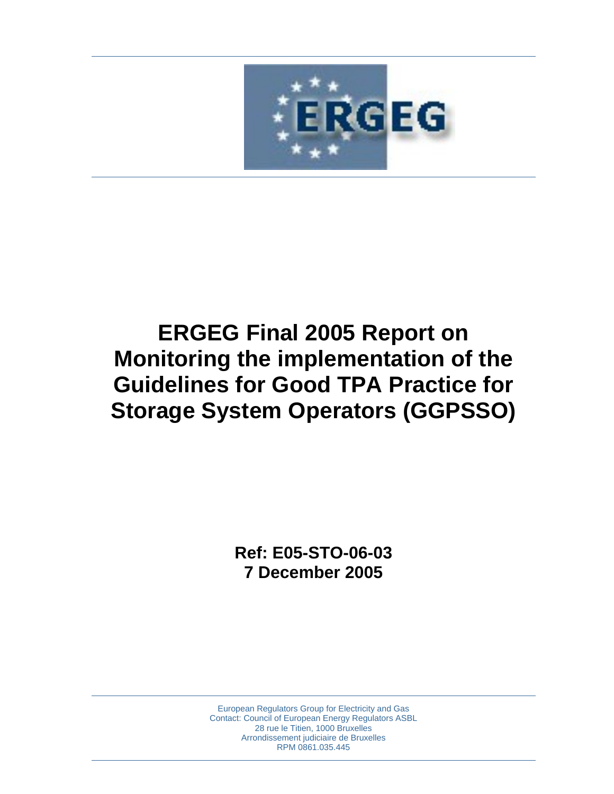

# **ERGEG Final 2005 Report on Monitoring the implementation of the Guidelines for Good TPA Practice for Storage System Operators (GGPSSO)**

**Ref: E05-STO-06-03 7 December 2005** 

European Regulators Group for Electricity and Gas Contact: Council of European Energy Regulators ASBL 28 rue le Titien, 1000 Bruxelles Arrondissement judiciaire de Bruxelles RPM 0861.035.445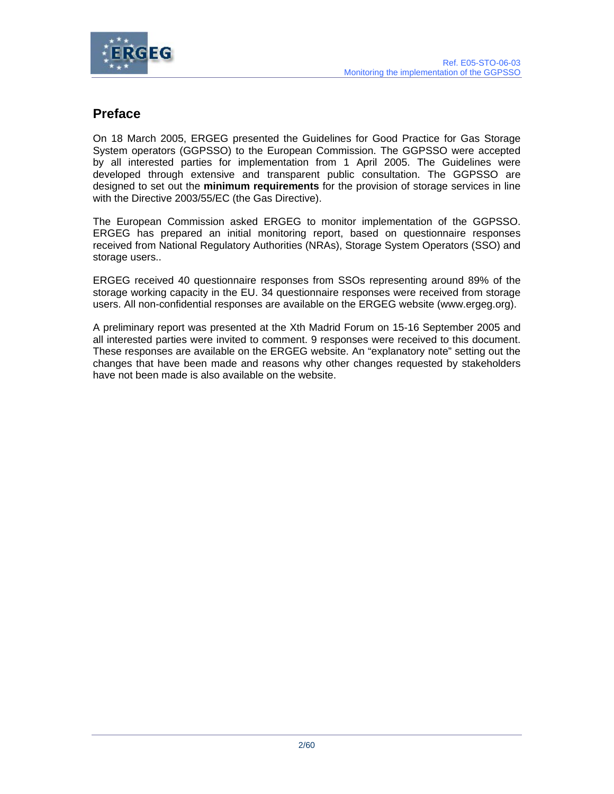

# **Preface**

On 18 March 2005, ERGEG presented the Guidelines for Good Practice for Gas Storage System operators (GGPSSO) to the European Commission. The GGPSSO were accepted by all interested parties for implementation from 1 April 2005. The Guidelines were developed through extensive and transparent public consultation. The GGPSSO are designed to set out the **minimum requirements** for the provision of storage services in line with the Directive 2003/55/EC (the Gas Directive).

The European Commission asked ERGEG to monitor implementation of the GGPSSO. ERGEG has prepared an initial monitoring report, based on questionnaire responses received from National Regulatory Authorities (NRAs), Storage System Operators (SSO) and storage users..

ERGEG received 40 questionnaire responses from SSOs representing around 89% of the storage working capacity in the EU. 34 questionnaire responses were received from storage users. All non-confidential responses are available on the ERGEG website (www.ergeg.org).

A preliminary report was presented at the Xth Madrid Forum on 15-16 September 2005 and all interested parties were invited to comment. 9 responses were received to this document. These responses are available on the ERGEG website. An "explanatory note" setting out the changes that have been made and reasons why other changes requested by stakeholders have not been made is also available on the website.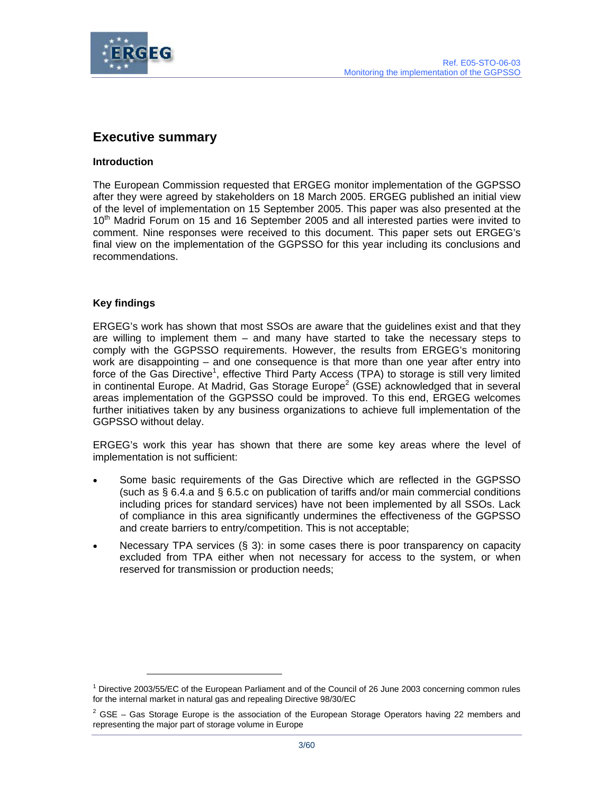

# **Executive summary**

#### **Introduction**

The European Commission requested that ERGEG monitor implementation of the GGPSSO after they were agreed by stakeholders on 18 March 2005. ERGEG published an initial view of the level of implementation on 15 September 2005. This paper was also presented at the 10<sup>th</sup> Madrid Forum on 15 and 16 September 2005 and all interested parties were invited to comment. Nine responses were received to this document. This paper sets out ERGEG's final view on the implementation of the GGPSSO for this year including its conclusions and recommendations.

#### **Key findings**

l

ERGEG's work has shown that most SSOs are aware that the guidelines exist and that they are willing to implement them – and many have started to take the necessary steps to comply with the GGPSSO requirements. However, the results from ERGEG's monitoring work are disappointing – and one consequence is that more than one year after entry into force of the Gas Directive<sup>1</sup>, effective Third Party Access (TPA) to storage is still very limited in continental Europe. At Madrid, Gas Storage Europe<sup>2</sup> (GSE) acknowledged that in several areas implementation of the GGPSSO could be improved. To this end, ERGEG welcomes further initiatives taken by any business organizations to achieve full implementation of the GGPSSO without delay.

ERGEG's work this year has shown that there are some key areas where the level of implementation is not sufficient:

- Some basic requirements of the Gas Directive which are reflected in the GGPSSO (such as § 6.4.a and § 6.5.c on publication of tariffs and/or main commercial conditions including prices for standard services) have not been implemented by all SSOs. Lack of compliance in this area significantly undermines the effectiveness of the GGPSSO and create barriers to entry/competition. This is not acceptable;
- Necessary TPA services (§ 3): in some cases there is poor transparency on capacity excluded from TPA either when not necessary for access to the system, or when reserved for transmission or production needs;

<sup>&</sup>lt;sup>1</sup> Directive 2003/55/EC of the European Parliament and of the Council of 26 June 2003 concerning common rules for the internal market in natural gas and repealing Directive 98/30/EC

 $2^{2}$  GSE – Gas Storage Europe is the association of the European Storage Operators having 22 members and representing the major part of storage volume in Europe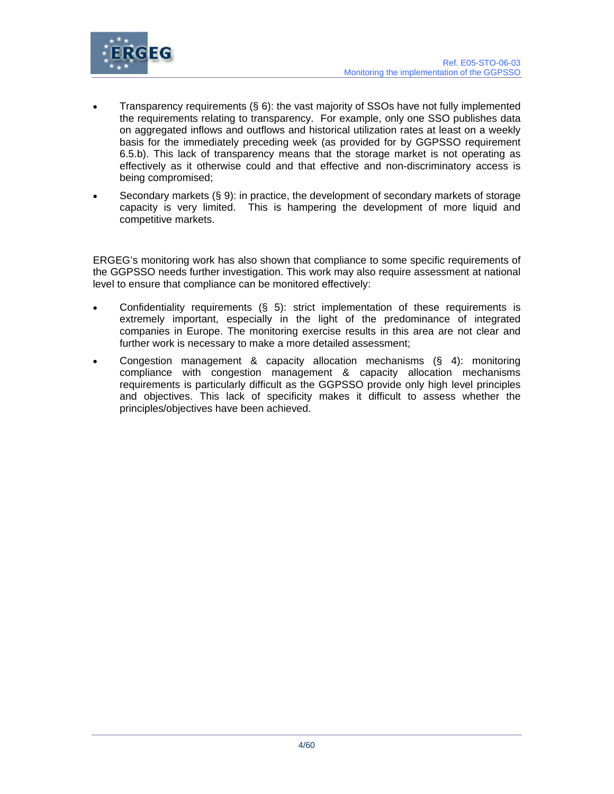

- Transparency requirements (§ 6): the vast majority of SSOs have not fully implemented the requirements relating to transparency. For example, only one SSO publishes data on aggregated inflows and outflows and historical utilization rates at least on a weekly basis for the immediately preceding week (as provided for by GGPSSO requirement 6.5.b). This lack of transparency means that the storage market is not operating as effectively as it otherwise could and that effective and non-discriminatory access is being compromised;
- Secondary markets (§ 9): in practice, the development of secondary markets of storage capacity is very limited. This is hampering the development of more liquid and competitive markets.

ERGEG's monitoring work has also shown that compliance to some specific requirements of the GGPSSO needs further investigation. This work may also require assessment at national level to ensure that compliance can be monitored effectively:

- Confidentiality requirements (§ 5): strict implementation of these requirements is extremely important, especially in the light of the predominance of integrated companies in Europe. The monitoring exercise results in this area are not clear and further work is necessary to make a more detailed assessment;
- Congestion management & capacity allocation mechanisms (§ 4): monitoring compliance with congestion management & capacity allocation mechanisms requirements is particularly difficult as the GGPSSO provide only high level principles and objectives. This lack of specificity makes it difficult to assess whether the principles/objectives have been achieved.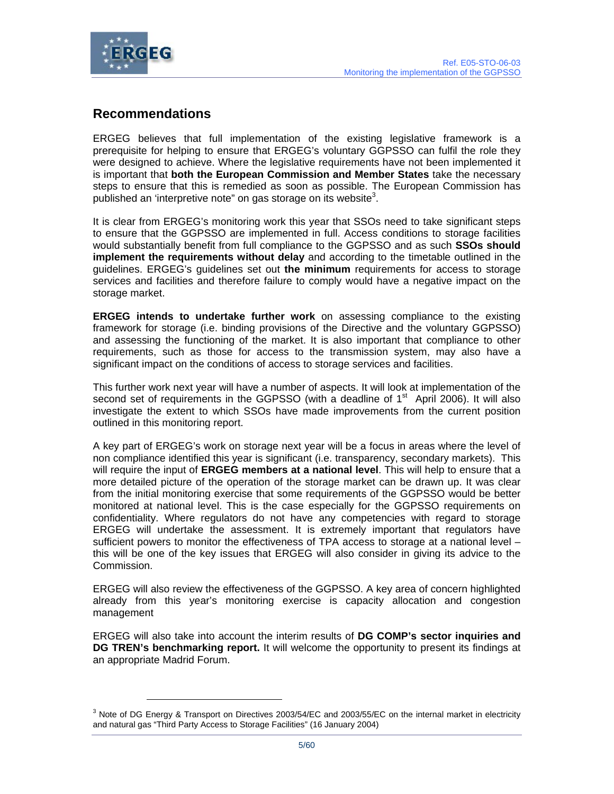

# **Recommendations**

l

ERGEG believes that full implementation of the existing legislative framework is a prerequisite for helping to ensure that ERGEG's voluntary GGPSSO can fulfil the role they were designed to achieve. Where the legislative requirements have not been implemented it is important that **both the European Commission and Member States** take the necessary steps to ensure that this is remedied as soon as possible. The European Commission has published an 'interpretive note" on gas storage on its website<sup>3</sup>.

It is clear from ERGEG's monitoring work this year that SSOs need to take significant steps to ensure that the GGPSSO are implemented in full. Access conditions to storage facilities would substantially benefit from full compliance to the GGPSSO and as such **SSOs should implement the requirements without delay** and according to the timetable outlined in the guidelines. ERGEG's guidelines set out **the minimum** requirements for access to storage services and facilities and therefore failure to comply would have a negative impact on the storage market.

**ERGEG intends to undertake further work** on assessing compliance to the existing framework for storage (i.e. binding provisions of the Directive and the voluntary GGPSSO) and assessing the functioning of the market. It is also important that compliance to other requirements, such as those for access to the transmission system, may also have a significant impact on the conditions of access to storage services and facilities.

This further work next year will have a number of aspects. It will look at implementation of the second set of requirements in the GGPSSO (with a deadline of 1<sup>st</sup> April 2006). It will also investigate the extent to which SSOs have made improvements from the current position outlined in this monitoring report.

A key part of ERGEG's work on storage next year will be a focus in areas where the level of non compliance identified this year is significant (i.e. transparency, secondary markets). This will require the input of **ERGEG members at a national level**. This will help to ensure that a more detailed picture of the operation of the storage market can be drawn up. It was clear from the initial monitoring exercise that some requirements of the GGPSSO would be better monitored at national level. This is the case especially for the GGPSSO requirements on confidentiality. Where regulators do not have any competencies with regard to storage ERGEG will undertake the assessment. It is extremely important that regulators have sufficient powers to monitor the effectiveness of TPA access to storage at a national level – this will be one of the key issues that ERGEG will also consider in giving its advice to the Commission.

ERGEG will also review the effectiveness of the GGPSSO. A key area of concern highlighted already from this year's monitoring exercise is capacity allocation and congestion management

ERGEG will also take into account the interim results of **DG COMP's sector inquiries and DG TREN's benchmarking report.** It will welcome the opportunity to present its findings at an appropriate Madrid Forum.

<sup>&</sup>lt;sup>3</sup> Note of DG Energy & Transport on Directives 2003/54/EC and 2003/55/EC on the internal market in electricity and natural gas "Third Party Access to Storage Facilities" (16 January 2004)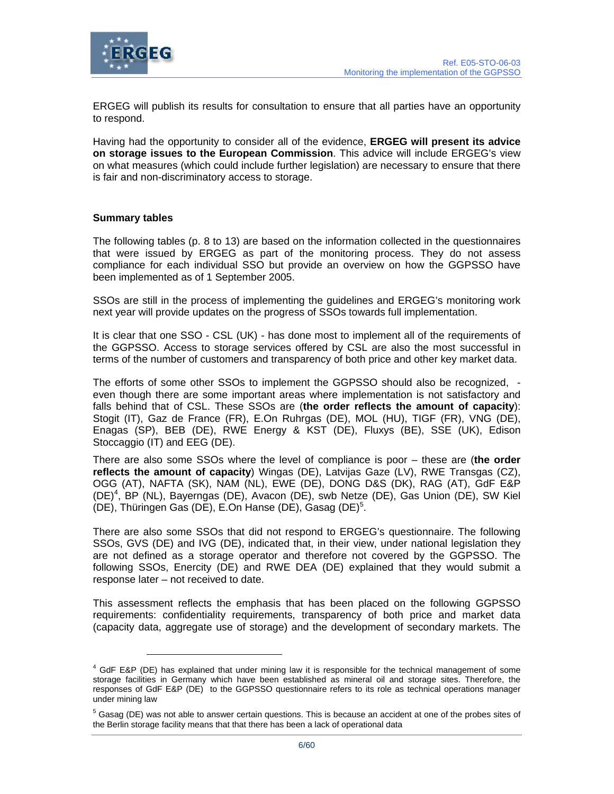

ERGEG will publish its results for consultation to ensure that all parties have an opportunity to respond.

Having had the opportunity to consider all of the evidence, **ERGEG will present its advice on storage issues to the European Commission**. This advice will include ERGEG's view on what measures (which could include further legislation) are necessary to ensure that there is fair and non-discriminatory access to storage.

#### **Summary tables**

l

The following tables (p. 8 to 13) are based on the information collected in the questionnaires that were issued by ERGEG as part of the monitoring process. They do not assess compliance for each individual SSO but provide an overview on how the GGPSSO have been implemented as of 1 September 2005.

SSOs are still in the process of implementing the guidelines and ERGEG's monitoring work next year will provide updates on the progress of SSOs towards full implementation.

It is clear that one SSO - CSL (UK) - has done most to implement all of the requirements of the GGPSSO. Access to storage services offered by CSL are also the most successful in terms of the number of customers and transparency of both price and other key market data.

The efforts of some other SSOs to implement the GGPSSO should also be recognized, even though there are some important areas where implementation is not satisfactory and falls behind that of CSL. These SSOs are (**the order reflects the amount of capacity**): Stogit (IT), Gaz de France (FR), E.On Ruhrgas (DE), MOL (HU), TIGF (FR), VNG (DE), Enagas (SP), BEB (DE), RWE Energy & KST (DE), Fluxys (BE), SSE (UK), Edison Stoccaggio (IT) and EEG (DE).

There are also some SSOs where the level of compliance is poor – these are (**the order reflects the amount of capacity**) Wingas (DE), Latvijas Gaze (LV), RWE Transgas (CZ), OGG (AT), NAFTA (SK), NAM (NL), EWE (DE), DONG D&S (DK), RAG (AT), GdF E&P (DE)<sup>4</sup>, BP (NL), Bayerngas (DE), Avacon (DE), swb Netze (DE), Gas Union (DE), SW Kiel (DE), Thüringen Gas (DE), E.On Hanse (DE), Gasag (DE)<sup>5</sup>.

There are also some SSOs that did not respond to ERGEG's questionnaire. The following SSOs, GVS (DE) and IVG (DE), indicated that, in their view, under national legislation they are not defined as a storage operator and therefore not covered by the GGPSSO. The following SSOs, Enercity (DE) and RWE DEA (DE) explained that they would submit a response later – not received to date.

This assessment reflects the emphasis that has been placed on the following GGPSSO requirements: confidentiality requirements, transparency of both price and market data (capacity data, aggregate use of storage) and the development of secondary markets. The

<sup>&</sup>lt;sup>4</sup> GdF E&P (DE) has explained that under mining law it is responsible for the technical management of some storage facilities in Germany which have been established as mineral oil and storage sites. Therefore, the responses of GdF E&P (DE) to the GGPSSO questionnaire refers to its role as technical operations manager under mining law

<sup>&</sup>lt;sup>5</sup> Gasag (DE) was not able to answer certain questions. This is because an accident at one of the probes sites of the Berlin storage facility means that that there has been a lack of operational data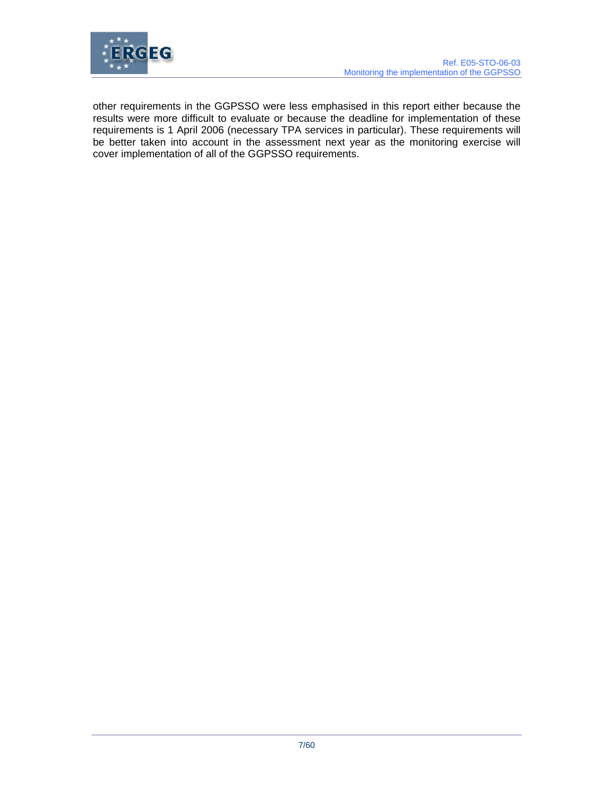

other requirements in the GGPSSO were less emphasised in this report either because the results were more difficult to evaluate or because the deadline for implementation of these requirements is 1 April 2006 (necessary TPA services in particular). These requirements will be better taken into account in the assessment next year as the monitoring exercise will cover implementation of all of the GGPSSO requirements.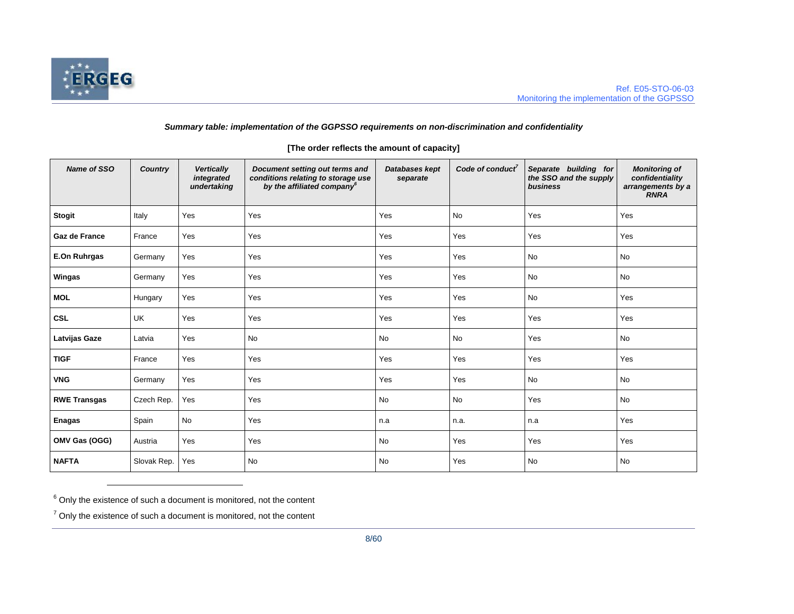

#### *Summary table: implementation of the GGPSSO requirements on non-discrimination and confidentiality*

| <b>Name of SSO</b>   | <b>Country</b> | <b>Vertically</b><br>integrated<br>undertaking | Document setting out terms and<br>conditions relating to storage use<br>by the affiliated company <sup>6</sup> | Databases kept<br>separate | Code of conduct <sup>7</sup> | Separate building for<br>the SSO and the supply<br>business | <b>Monitoring of</b><br>confidentiality<br>arrangements by a<br><b>RNRA</b> |
|----------------------|----------------|------------------------------------------------|----------------------------------------------------------------------------------------------------------------|----------------------------|------------------------------|-------------------------------------------------------------|-----------------------------------------------------------------------------|
| Stogit               | Italy          | Yes                                            | Yes                                                                                                            | Yes                        | No                           | Yes                                                         | Yes                                                                         |
| <b>Gaz de France</b> | France         | Yes                                            | Yes                                                                                                            | Yes                        | Yes                          | Yes                                                         | Yes                                                                         |
| E.On Ruhrgas         | Germany        | Yes                                            | Yes                                                                                                            | Yes                        | Yes                          | No                                                          | No                                                                          |
| Wingas               | Germany        | Yes                                            | Yes                                                                                                            | Yes                        | Yes                          | No                                                          | <b>No</b>                                                                   |
| <b>MOL</b>           | Hungary        | Yes                                            | Yes                                                                                                            | Yes                        | Yes                          | No                                                          | Yes                                                                         |
| <b>CSL</b>           | UK             | Yes                                            | Yes                                                                                                            | Yes                        | Yes                          | Yes                                                         | Yes                                                                         |
| <b>Latvijas Gaze</b> | Latvia         | Yes                                            | No                                                                                                             | No                         | No                           | Yes                                                         | No                                                                          |
| <b>TIGF</b>          | France         | Yes                                            | Yes                                                                                                            | Yes                        | Yes                          | Yes                                                         | Yes                                                                         |
| <b>VNG</b>           | Germany        | Yes                                            | Yes                                                                                                            | Yes                        | Yes                          | No                                                          | <b>No</b>                                                                   |
| <b>RWE Transgas</b>  | Czech Rep.     | Yes                                            | Yes                                                                                                            | No                         | No                           | Yes                                                         | No                                                                          |
| <b>Enagas</b>        | Spain          | No                                             | Yes                                                                                                            | n.a                        | n.a.                         | n.a                                                         | Yes                                                                         |
| OMV Gas (OGG)        | Austria        | Yes                                            | Yes                                                                                                            | No                         | Yes                          | Yes                                                         | Yes                                                                         |
| <b>NAFTA</b>         | Slovak Rep.    | Yes                                            | No                                                                                                             | No                         | Yes                          | No                                                          | No                                                                          |

#### **[The order reflects the amount of capacity]**

 $6$  Only the existence of such a document is monitored, not the content

 $7$  Only the existence of such a document is monitored, not the content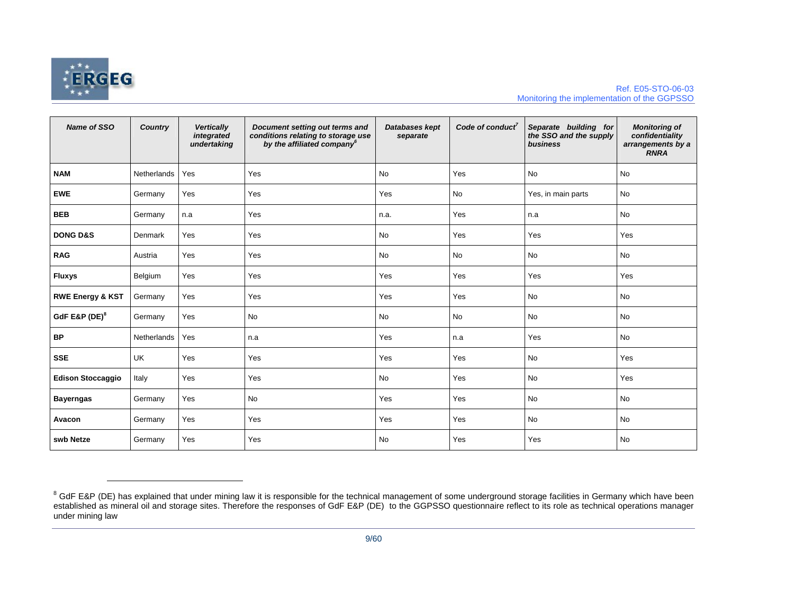

| Name of SSO                 | <b>Country</b> | <b>Vertically</b><br>integrated<br>undertaking | Document setting out terms and<br>conditions relating to storage use<br>by the affiliated company <sup>6</sup> | Databases kept<br>separate | Code of conduct <sup>7</sup> | Separate building for<br>the SSO and the supply<br>business | <b>Monitoring of</b><br>confidentiality<br>arrangements by a<br><b>RNRA</b> |
|-----------------------------|----------------|------------------------------------------------|----------------------------------------------------------------------------------------------------------------|----------------------------|------------------------------|-------------------------------------------------------------|-----------------------------------------------------------------------------|
| <b>NAM</b>                  | Netherlands    | Yes                                            | Yes                                                                                                            | <b>No</b>                  | Yes                          | <b>No</b>                                                   | No                                                                          |
| <b>EWE</b>                  | Germany        | Yes                                            | Yes                                                                                                            | Yes                        | No                           | Yes, in main parts                                          | No                                                                          |
| <b>BEB</b>                  | Germany        | n.a                                            | Yes                                                                                                            | n.a.                       | Yes                          | n.a                                                         | <b>No</b>                                                                   |
| <b>DONG D&amp;S</b>         | Denmark        | Yes                                            | Yes                                                                                                            | <b>No</b>                  | Yes                          | Yes                                                         | Yes                                                                         |
| <b>RAG</b>                  | Austria        | Yes                                            | Yes                                                                                                            | No                         | <b>No</b>                    | No                                                          | No                                                                          |
| <b>Fluxys</b>               | Belgium        | Yes                                            | Yes                                                                                                            | Yes                        | Yes                          | Yes                                                         | Yes                                                                         |
| <b>RWE Energy &amp; KST</b> | Germany        | Yes                                            | Yes                                                                                                            | Yes                        | Yes                          | No                                                          | No                                                                          |
| GdF E&P $(DE)^8$            | Germany        | Yes                                            | No                                                                                                             | No                         | No                           | No                                                          | No                                                                          |
| <b>BP</b>                   | Netherlands    | Yes                                            | n.a                                                                                                            | Yes                        | n.a                          | Yes                                                         | No                                                                          |
| <b>SSE</b>                  | <b>UK</b>      | Yes                                            | Yes                                                                                                            | Yes                        | Yes                          | No                                                          | Yes                                                                         |
| <b>Edison Stoccaggio</b>    | Italy          | Yes                                            | Yes                                                                                                            | No                         | Yes                          | No                                                          | Yes                                                                         |
| <b>Bayerngas</b>            | Germany        | Yes                                            | No                                                                                                             | Yes                        | Yes                          | <b>No</b>                                                   | No                                                                          |
| Avacon                      | Germany        | Yes                                            | Yes                                                                                                            | Yes                        | Yes                          | No                                                          | <b>No</b>                                                                   |
| swb Netze                   | Germany        | Yes                                            | Yes                                                                                                            | No                         | Yes                          | Yes                                                         | No                                                                          |

 $8$  GdF E&P (DE) has explained that under mining law it is responsible for the technical management of some underground storage facilities in Germany which have been established as mineral oil and storage sites. Therefore the responses of GdF E&P (DE) to the GGPSSO questionnaire reflect to its role as technical operations manager under mining law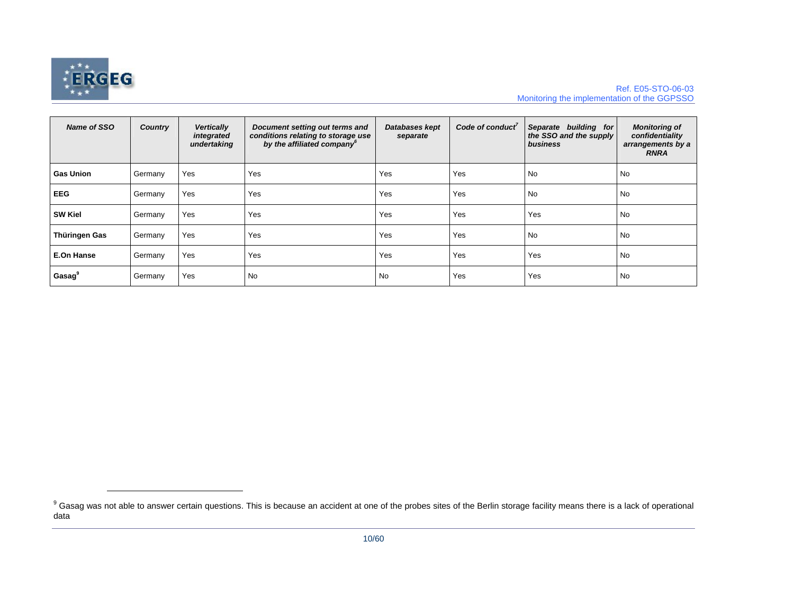

| Name of SSO          | <b>Country</b> | <b>Vertically</b><br>integrated<br>undertaking | Document setting out terms and<br>conditions relating to storage use<br>by the affiliated company <sup>6</sup> | <b>Databases kept</b><br>separate | Code of conduct | Separate building for<br>the SSO and the supply<br>business | <b>Monitoring of</b><br>confidentiality<br>arrangements by a<br><b>RNRA</b> |
|----------------------|----------------|------------------------------------------------|----------------------------------------------------------------------------------------------------------------|-----------------------------------|-----------------|-------------------------------------------------------------|-----------------------------------------------------------------------------|
| <b>Gas Union</b>     | Germany        | Yes                                            | Yes                                                                                                            | Yes                               | Yes             | <b>No</b>                                                   | <b>No</b>                                                                   |
| <b>EEG</b>           | Germany        | Yes                                            | Yes                                                                                                            | Yes                               | Yes             | <b>No</b>                                                   | N <sub>o</sub>                                                              |
| <b>SW Kiel</b>       | Germany        | Yes                                            | Yes                                                                                                            | Yes                               | Yes             | Yes                                                         | <b>No</b>                                                                   |
| <b>Thüringen Gas</b> | Germany        | Yes                                            | Yes                                                                                                            | Yes                               | Yes             | <b>No</b>                                                   | N <sub>o</sub>                                                              |
| <b>E.On Hanse</b>    | Germany        | Yes                                            | Yes                                                                                                            | Yes                               | Yes             | Yes                                                         | N <sub>o</sub>                                                              |
| Gasag                | Germany        | Yes                                            | <b>No</b>                                                                                                      | No                                | Yes             | Yes                                                         | l No                                                                        |

 $9$  Gasag was not able to answer certain questions. This is because an accident at one of the probes sites of the Berlin storage facility means there is a lack of operational data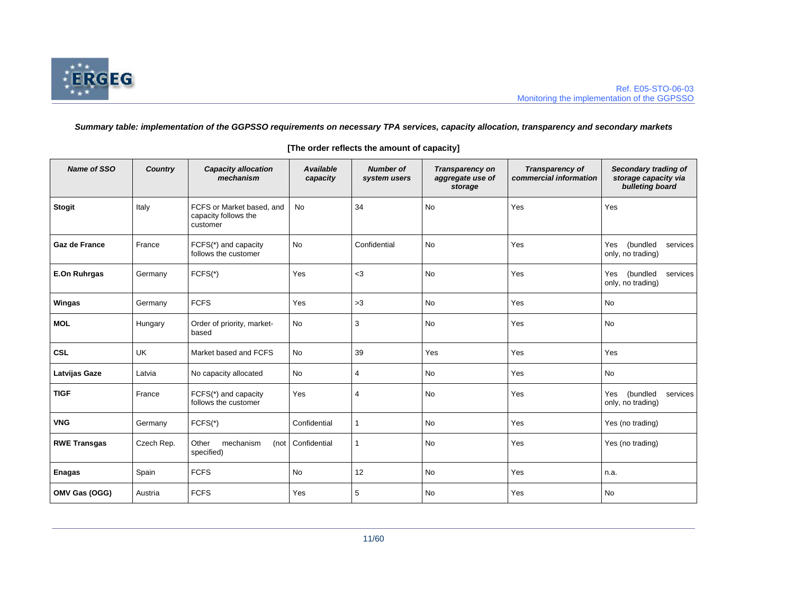

#### *Summary table: implementation of the GGPSSO requirements on necessary TPA services, capacity allocation, transparency and secondary markets*

| Name of SSO          | <b>Country</b> | <b>Capacity allocation</b><br>mechanism                       | <b>Available</b><br>capacity | <b>Number of</b><br>system users | <b>Transparency on</b><br>aggregate use of<br>storage | Transparency of<br>commercial information | Secondary trading of<br>storage capacity via<br>bulleting board |
|----------------------|----------------|---------------------------------------------------------------|------------------------------|----------------------------------|-------------------------------------------------------|-------------------------------------------|-----------------------------------------------------------------|
| <b>Stogit</b>        | Italy          | FCFS or Market based, and<br>capacity follows the<br>customer | No                           | 34                               | No                                                    | Yes                                       | Yes                                                             |
| Gaz de France        | France         | FCFS(*) and capacity<br>follows the customer                  | <b>No</b>                    | Confidential                     | <b>No</b>                                             | Yes                                       | Yes<br>(bundled<br>services<br>only, no trading)                |
| E.On Ruhrgas         | Germany        | $FCFS(*)$                                                     | Yes                          | $3$                              | <b>No</b>                                             | Yes                                       | Yes<br>(bundled<br>services<br>only, no trading)                |
| Wingas               | Germany        | <b>FCFS</b>                                                   | Yes                          | >3                               | <b>No</b>                                             | Yes                                       | No                                                              |
| <b>MOL</b>           | Hungary        | Order of priority, market-<br>based                           | <b>No</b>                    | 3                                | <b>No</b>                                             | Yes                                       | <b>No</b>                                                       |
| <b>CSL</b>           | UK             | Market based and FCFS                                         | No                           | 39                               | Yes                                                   | Yes                                       | Yes                                                             |
| <b>Latvijas Gaze</b> | Latvia         | No capacity allocated                                         | <b>No</b>                    | 4                                | No                                                    | Yes                                       | <b>No</b>                                                       |
| <b>TIGF</b>          | France         | FCFS(*) and capacity<br>follows the customer                  | Yes                          | $\overline{4}$                   | No                                                    | Yes                                       | Yes<br>(bundled<br>services<br>only, no trading)                |
| <b>VNG</b>           | Germany        | $FCFS(*)$                                                     | Confidential                 | $\mathbf{1}$                     | No                                                    | Yes                                       | Yes (no trading)                                                |
| <b>RWE Transgas</b>  | Czech Rep.     | mechanism<br>Other<br>(not<br>specified)                      | Confidential                 | $\mathbf{1}$                     | No                                                    | Yes                                       | Yes (no trading)                                                |
| <b>Enagas</b>        | Spain          | <b>FCFS</b>                                                   | <b>No</b>                    | 12                               | <b>No</b>                                             | Yes                                       | n.a.                                                            |
| OMV Gas (OGG)        | Austria        | <b>FCFS</b>                                                   | Yes                          | 5                                | <b>No</b>                                             | Yes                                       | No                                                              |

**[The order reflects the amount of capacity]**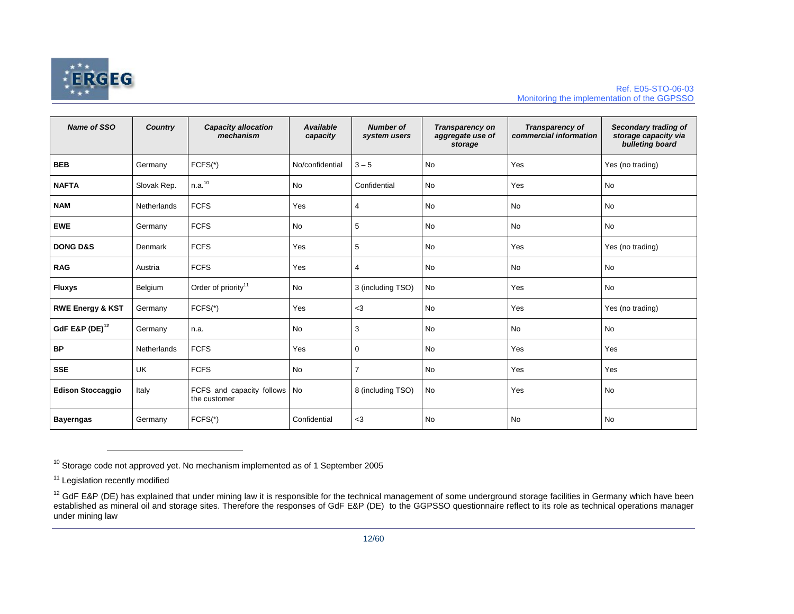

| <b>Name of SSO</b>          | <b>Country</b> | <b>Capacity allocation</b><br>mechanism      | <b>Available</b><br>capacity | <b>Number of</b><br>system users | <b>Transparency on</b><br>aggregate use of<br>storage | <b>Transparency of</b><br>commercial information | Secondary trading of<br>storage capacity via<br>bulleting board |
|-----------------------------|----------------|----------------------------------------------|------------------------------|----------------------------------|-------------------------------------------------------|--------------------------------------------------|-----------------------------------------------------------------|
| <b>BEB</b>                  | Germany        | $FCFS(*)$                                    | No/confidential              | $3 - 5$                          | No                                                    | Yes                                              | Yes (no trading)                                                |
| <b>NAFTA</b>                | Slovak Rep.    | n.a. <sup>10</sup>                           | No                           | Confidential                     | No                                                    | Yes                                              | <b>No</b>                                                       |
| <b>NAM</b>                  | Netherlands    | <b>FCFS</b>                                  | Yes                          | $\overline{4}$                   | No                                                    | No                                               | <b>No</b>                                                       |
| <b>EWE</b>                  | Germany        | <b>FCFS</b>                                  | No                           | 5                                | No                                                    | No                                               | <b>No</b>                                                       |
| <b>DONG D&amp;S</b>         | Denmark        | <b>FCFS</b>                                  | Yes                          | 5                                | No                                                    | Yes                                              | Yes (no trading)                                                |
| <b>RAG</b>                  | Austria        | <b>FCFS</b>                                  | Yes                          | 4                                | No                                                    | No                                               | No                                                              |
| <b>Fluxys</b>               | Belgium        | Order of priority <sup>11</sup>              | No                           | 3 (including TSO)                | No                                                    | Yes                                              | <b>No</b>                                                       |
| <b>RWE Energy &amp; KST</b> | Germany        | $FCFS(*)$                                    | Yes                          | $3$                              | No                                                    | Yes                                              | Yes (no trading)                                                |
| GdF E&P $(DE)^{12}$         | Germany        | n.a.                                         | No                           | 3                                | No                                                    | No                                               | No                                                              |
| <b>BP</b>                   | Netherlands    | <b>FCFS</b>                                  | Yes                          | $\mathbf 0$                      | No                                                    | Yes                                              | Yes                                                             |
| <b>SSE</b>                  | <b>UK</b>      | <b>FCFS</b>                                  | No                           | $\overline{7}$                   | No                                                    | Yes                                              | Yes                                                             |
| <b>Edison Stoccaggio</b>    | Italy          | FCFS and capacity follows No<br>the customer |                              | 8 (including TSO)                | No                                                    | Yes                                              | <b>No</b>                                                       |
| <b>Bayerngas</b>            | Germany        | $FCFS(*)$                                    | Confidential                 | $<$ 3                            | <b>No</b>                                             | <b>No</b>                                        | <b>No</b>                                                       |

<sup>&</sup>lt;sup>10</sup> Storage code not approved yet. No mechanism implemented as of 1 September 2005

<sup>&</sup>lt;sup>11</sup> Legislation recently modified

 $^{12}$  GdF E&P (DE) has explained that under mining law it is responsible for the technical management of some underground storage facilities in Germany which have been established as mineral oil and storage sites. Therefore the responses of GdF E&P (DE) to the GGPSSO questionnaire reflect to its role as technical operations manager under mining law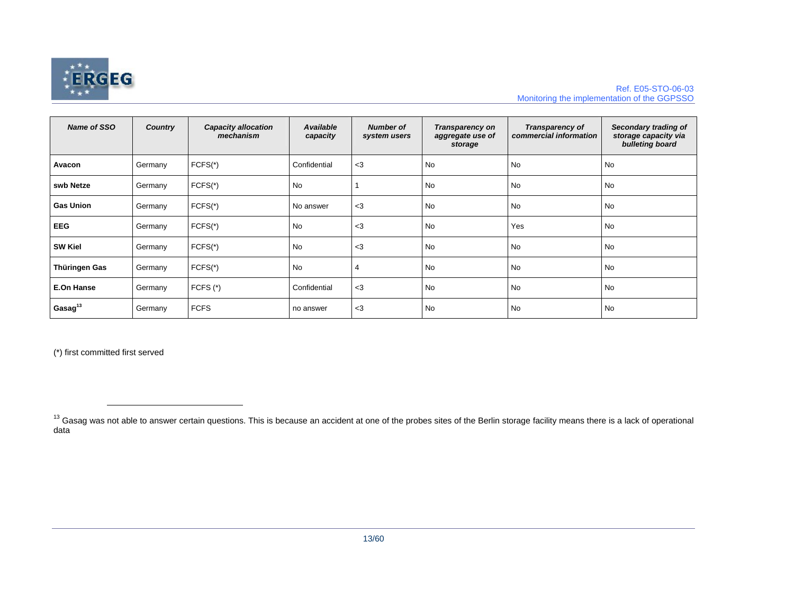

| Name of SSO          | <b>Country</b> | <b>Capacity allocation</b><br>mechanism | <b>Available</b><br>capacity | <b>Number of</b><br>system users | <b>Transparency on</b><br>aggregate use of<br>storage | <b>Transparency of</b><br>commercial information | Secondary trading of<br>storage capacity via<br>bulleting board |
|----------------------|----------------|-----------------------------------------|------------------------------|----------------------------------|-------------------------------------------------------|--------------------------------------------------|-----------------------------------------------------------------|
| Avacon               | Germany        | $FCFS(*)$                               | Confidential                 | $<$ 3                            | No                                                    | <b>No</b>                                        | No                                                              |
| swb Netze            | Germany        | $FCFS(*)$                               | No                           |                                  | No                                                    | <b>No</b>                                        | No                                                              |
| <b>Gas Union</b>     | Germany        | $FCFS(*)$                               | No answer                    | $<$ 3                            | No                                                    | <b>No</b>                                        | No                                                              |
| <b>EEG</b>           | Germany        | $FCFS(*)$                               | No                           | $3$                              | No                                                    | Yes                                              | <b>No</b>                                                       |
| <b>SW Kiel</b>       | Germany        | $FCFS(*)$                               | No                           | $3$                              | No                                                    | <b>No</b>                                        | <b>No</b>                                                       |
| <b>Thüringen Gas</b> | Germany        | $FCFS(*)$                               | No                           | $\overline{4}$                   | No                                                    | <b>No</b>                                        | No                                                              |
| E.On Hanse           | Germany        | FCFS $(*)$                              | Confidential                 | $3$                              | No                                                    | <b>No</b>                                        | <b>No</b>                                                       |
| Gasag <sup>13</sup>  | Germany        | <b>FCFS</b>                             | no answer                    | $<$ 3                            | No                                                    | <b>No</b>                                        | No                                                              |

(\*) first committed first served

<sup>&</sup>lt;sup>13</sup> Gasag was not able to answer certain questions. This is because an accident at one of the probes sites of the Berlin storage facility means there is a lack of operational<br>data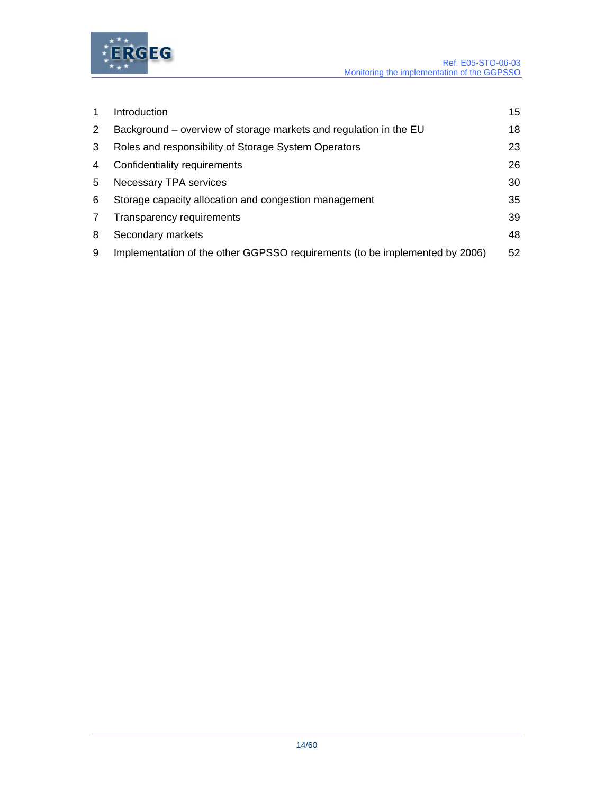

|   | <b>Introduction</b>                                                         | 15 |
|---|-----------------------------------------------------------------------------|----|
| 2 | Background – overview of storage markets and regulation in the EU           | 18 |
| 3 | Roles and responsibility of Storage System Operators                        | 23 |
| 4 | Confidentiality requirements                                                | 26 |
| 5 | Necessary TPA services                                                      | 30 |
| 6 | Storage capacity allocation and congestion management                       | 35 |
| 7 | Transparency requirements                                                   | 39 |
| 8 | Secondary markets                                                           | 48 |
| 9 | Implementation of the other GGPSSO requirements (to be implemented by 2006) | 52 |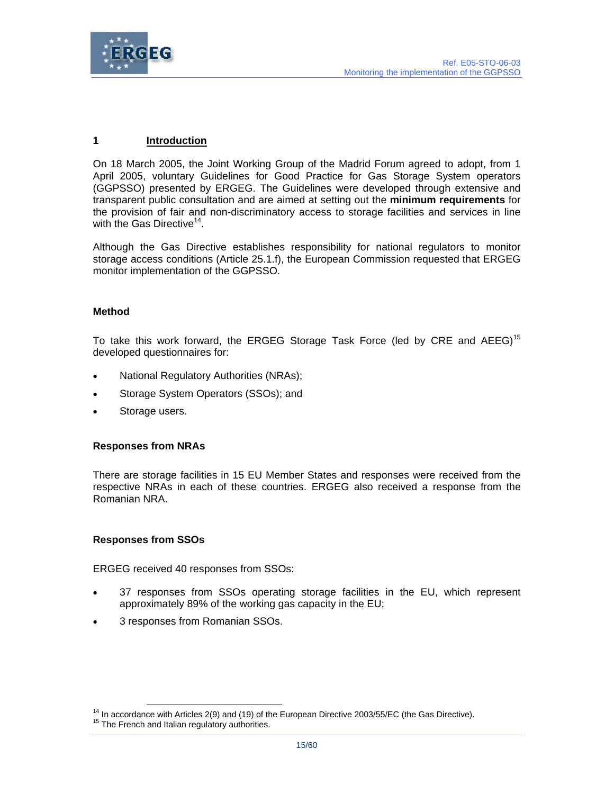

## **1 Introduction**

On 18 March 2005, the Joint Working Group of the Madrid Forum agreed to adopt, from 1 April 2005, voluntary Guidelines for Good Practice for Gas Storage System operators (GGPSSO) presented by ERGEG. The Guidelines were developed through extensive and transparent public consultation and are aimed at setting out the **minimum requirements** for the provision of fair and non-discriminatory access to storage facilities and services in line with the Gas Directive<sup>14</sup>.

Although the Gas Directive establishes responsibility for national regulators to monitor storage access conditions (Article 25.1.f), the European Commission requested that ERGEG monitor implementation of the GGPSSO.

#### **Method**

To take this work forward, the ERGEG Storage Task Force (led by CRE and AEEG)<sup>15</sup> developed questionnaires for:

- National Regulatory Authorities (NRAs);
- Storage System Operators (SSOs); and
- Storage users.

#### **Responses from NRAs**

There are storage facilities in 15 EU Member States and responses were received from the respective NRAs in each of these countries. ERGEG also received a response from the Romanian NRA.

#### **Responses from SSOs**

ERGEG received 40 responses from SSOs:

- 37 responses from SSOs operating storage facilities in the EU, which represent approximately 89% of the working gas capacity in the EU;
- 3 responses from Romanian SSOs.

<sup>&</sup>lt;sup>14</sup> In accordance with Articles 2(9) and (19) of the European Directive 2003/55/EC (the Gas Directive).<br><sup>15</sup> The French and Italian regulatory authorities.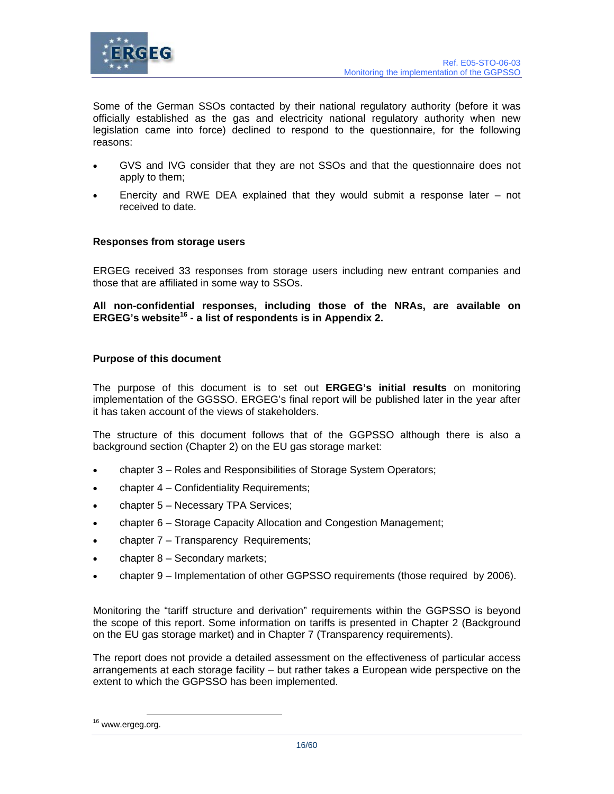

Some of the German SSOs contacted by their national regulatory authority (before it was officially established as the gas and electricity national regulatory authority when new legislation came into force) declined to respond to the questionnaire, for the following reasons:

- GVS and IVG consider that they are not SSOs and that the questionnaire does not apply to them;
- Enercity and RWE DEA explained that they would submit a response later  $-$  not received to date.

#### **Responses from storage users**

ERGEG received 33 responses from storage users including new entrant companies and those that are affiliated in some way to SSOs.

**All non-confidential responses, including those of the NRAs, are available on ERGEG's website16 - a list of respondents is in Appendix 2.** 

#### **Purpose of this document**

The purpose of this document is to set out **ERGEG's initial results** on monitoring implementation of the GGSSO. ERGEG's final report will be published later in the year after it has taken account of the views of stakeholders.

The structure of this document follows that of the GGPSSO although there is also a background section (Chapter 2) on the EU gas storage market:

- chapter 3 Roles and Responsibilities of Storage System Operators;
- chapter 4 Confidentiality Requirements;
- chapter 5 Necessary TPA Services;
- chapter 6 Storage Capacity Allocation and Congestion Management;
- chapter 7 Transparency Requirements;
- chapter 8 Secondary markets;
- chapter 9 Implementation of other GGPSSO requirements (those required by 2006).

Monitoring the "tariff structure and derivation" requirements within the GGPSSO is beyond the scope of this report. Some information on tariffs is presented in Chapter 2 (Background on the EU gas storage market) and in Chapter 7 (Transparency requirements).

The report does not provide a detailed assessment on the effectiveness of particular access arrangements at each storage facility – but rather takes a European wide perspective on the extent to which the GGPSSO has been implemented.

<sup>&</sup>lt;sup>16</sup> www.ergeg.org.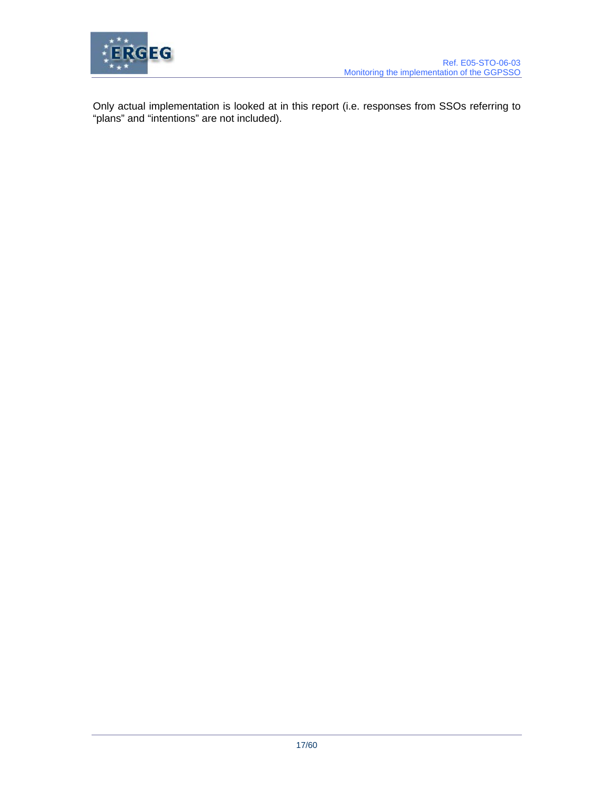

Only actual implementation is looked at in this report (i.e. responses from SSOs referring to "plans" and "intentions" are not included).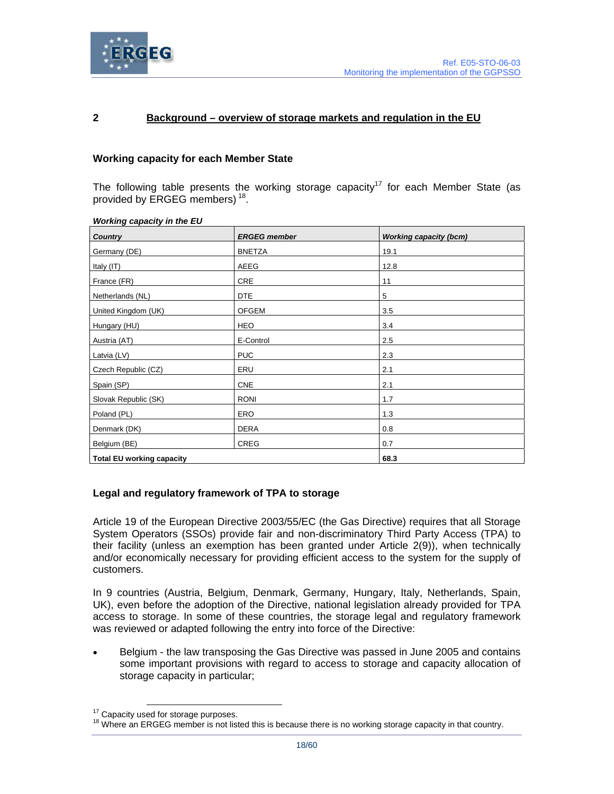

#### **2 Background – overview of storage markets and regulation in the EU**

#### **Working capacity for each Member State**

The following table presents the working storage capacity<sup>17</sup> for each Member State (as provided by ERGEG members) 18.

| <b>Country</b>                   | <b>ERGEG</b> member | <b>Working capacity (bcm)</b> |
|----------------------------------|---------------------|-------------------------------|
| Germany (DE)                     | <b>BNETZA</b>       | 19.1                          |
| Italy (IT)                       | AEEG                | 12.8                          |
| France (FR)                      | <b>CRE</b>          | 11                            |
| Netherlands (NL)                 | DTE                 | 5                             |
| United Kingdom (UK)              | <b>OFGEM</b>        | 3.5                           |
| Hungary (HU)                     | <b>HEO</b>          | 3.4                           |
| Austria (AT)                     | E-Control           | 2.5                           |
| Latvia (LV)                      | <b>PUC</b>          | 2.3                           |
| Czech Republic (CZ)              | ERU                 | 2.1                           |
| Spain (SP)                       | <b>CNE</b>          | 2.1                           |
| Slovak Republic (SK)             | <b>RONI</b>         | 1.7                           |
| Poland (PL)                      | ERO                 | 1.3                           |
| Denmark (DK)                     | <b>DERA</b>         | 0.8                           |
| Belgium (BE)                     | <b>CREG</b>         | 0.7                           |
| <b>Total EU working capacity</b> |                     | 68.3                          |

#### *Working capacity in the EU*

#### **Legal and regulatory framework of TPA to storage**

Article 19 of the European Directive 2003/55/EC (the Gas Directive) requires that all Storage System Operators (SSOs) provide fair and non-discriminatory Third Party Access (TPA) to their facility (unless an exemption has been granted under Article 2(9)), when technically and/or economically necessary for providing efficient access to the system for the supply of customers.

In 9 countries (Austria, Belgium, Denmark, Germany, Hungary, Italy, Netherlands, Spain, UK), even before the adoption of the Directive, national legislation already provided for TPA access to storage. In some of these countries, the storage legal and regulatory framework was reviewed or adapted following the entry into force of the Directive:

• Belgium - the law transposing the Gas Directive was passed in June 2005 and contains some important provisions with regard to access to storage and capacity allocation of storage capacity in particular;

<sup>&</sup>lt;sup>17</sup> Capacity used for storage purposes.<br><sup>18</sup> Where an ERGEG member is not listed this is because there is no working storage capacity in that country.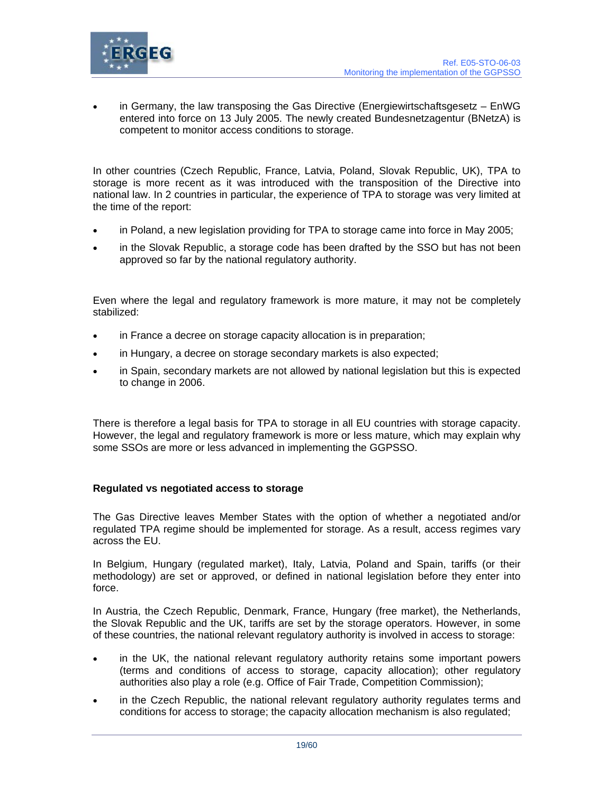

• in Germany, the law transposing the Gas Directive (Energiewirtschaftsgesetz – EnWG entered into force on 13 July 2005. The newly created Bundesnetzagentur (BNetzA) is competent to monitor access conditions to storage.

In other countries (Czech Republic, France, Latvia, Poland, Slovak Republic, UK), TPA to storage is more recent as it was introduced with the transposition of the Directive into national law. In 2 countries in particular, the experience of TPA to storage was very limited at the time of the report:

- in Poland, a new legislation providing for TPA to storage came into force in May 2005;
- in the Slovak Republic, a storage code has been drafted by the SSO but has not been approved so far by the national regulatory authority.

Even where the legal and regulatory framework is more mature, it may not be completely stabilized:

- in France a decree on storage capacity allocation is in preparation;
- in Hungary, a decree on storage secondary markets is also expected;
- in Spain, secondary markets are not allowed by national legislation but this is expected to change in 2006.

There is therefore a legal basis for TPA to storage in all EU countries with storage capacity. However, the legal and regulatory framework is more or less mature, which may explain why some SSOs are more or less advanced in implementing the GGPSSO.

#### **Regulated vs negotiated access to storage**

The Gas Directive leaves Member States with the option of whether a negotiated and/or regulated TPA regime should be implemented for storage. As a result, access regimes vary across the EU.

In Belgium, Hungary (regulated market), Italy, Latvia, Poland and Spain, tariffs (or their methodology) are set or approved, or defined in national legislation before they enter into force.

In Austria, the Czech Republic, Denmark, France, Hungary (free market), the Netherlands, the Slovak Republic and the UK, tariffs are set by the storage operators. However, in some of these countries, the national relevant regulatory authority is involved in access to storage:

- in the UK, the national relevant regulatory authority retains some important powers (terms and conditions of access to storage, capacity allocation); other regulatory authorities also play a role (e.g. Office of Fair Trade, Competition Commission);
- in the Czech Republic, the national relevant regulatory authority regulates terms and conditions for access to storage; the capacity allocation mechanism is also regulated;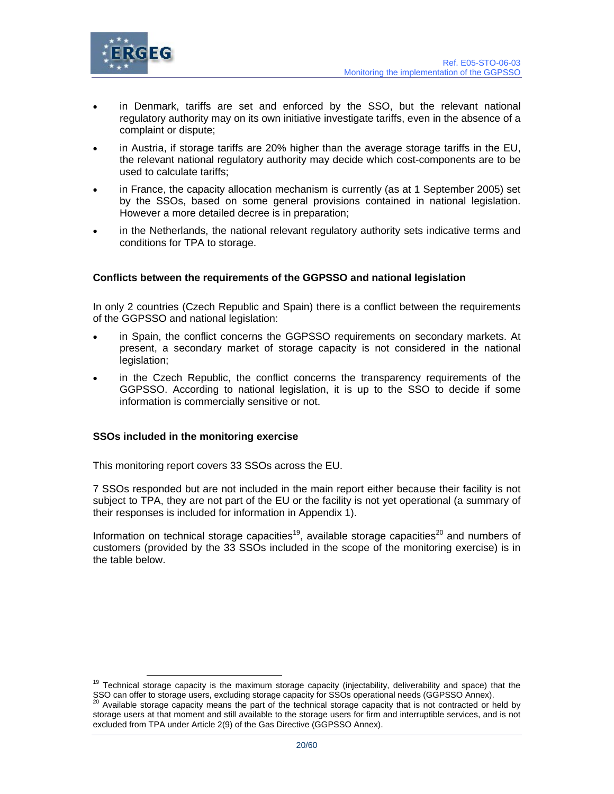

- in Denmark, tariffs are set and enforced by the SSO, but the relevant national regulatory authority may on its own initiative investigate tariffs, even in the absence of a complaint or dispute;
- in Austria, if storage tariffs are 20% higher than the average storage tariffs in the EU, the relevant national regulatory authority may decide which cost-components are to be used to calculate tariffs;
- in France, the capacity allocation mechanism is currently (as at 1 September 2005) set by the SSOs, based on some general provisions contained in national legislation. However a more detailed decree is in preparation;
- in the Netherlands, the national relevant regulatory authority sets indicative terms and conditions for TPA to storage.

#### **Conflicts between the requirements of the GGPSSO and national legislation**

In only 2 countries (Czech Republic and Spain) there is a conflict between the requirements of the GGPSSO and national legislation:

- in Spain, the conflict concerns the GGPSSO requirements on secondary markets. At present, a secondary market of storage capacity is not considered in the national legislation;
- in the Czech Republic, the conflict concerns the transparency requirements of the GGPSSO. According to national legislation, it is up to the SSO to decide if some information is commercially sensitive or not.

#### **SSOs included in the monitoring exercise**

This monitoring report covers 33 SSOs across the EU.

7 SSOs responded but are not included in the main report either because their facility is not subject to TPA, they are not part of the EU or the facility is not yet operational (a summary of their responses is included for information in Appendix 1).

Information on technical storage capacities<sup>19</sup>, available storage capacities<sup>20</sup> and numbers of customers (provided by the 33 SSOs included in the scope of the monitoring exercise) is in the table below.

<sup>&</sup>lt;sup>19</sup> Technical storage capacity is the maximum storage capacity (injectability, deliverability and space) that the SSO can offer to storage users, excluding storage capacity for SSOs operational needs (GGPSSO Annex).<br><sup>20</sup> Available storage capacity means the part of the technical storage capacity that is not contracted or held by

storage users at that moment and still available to the storage users for firm and interruptible services, and is not excluded from TPA under Article 2(9) of the Gas Directive (GGPSSO Annex).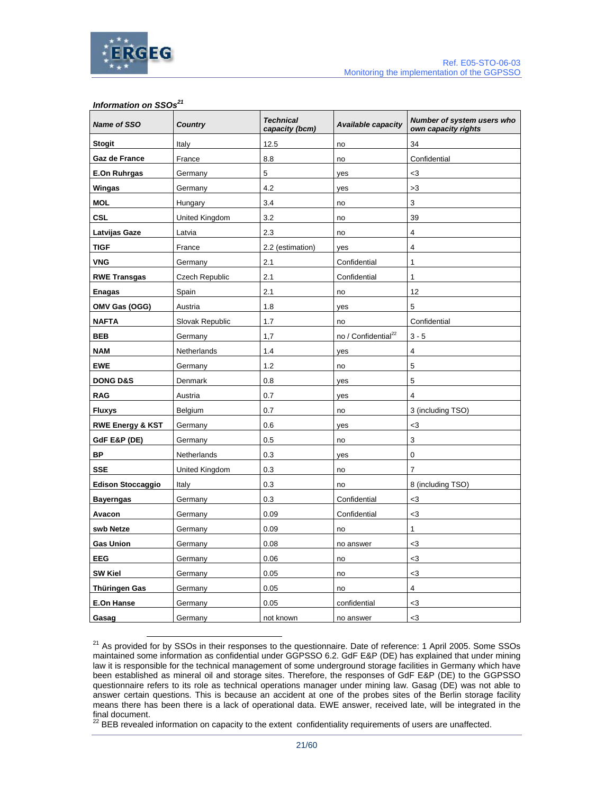

| בטטט ווטוושווישוויטווי   |                       |                                    |                                 |                                                   |
|--------------------------|-----------------------|------------------------------------|---------------------------------|---------------------------------------------------|
| Name of SSO              | <b>Country</b>        | <b>Technical</b><br>capacity (bcm) | <b>Available capacity</b>       | Number of system users who<br>own capacity rights |
| <b>Stogit</b>            | Italy                 | 12.5                               | no                              | 34                                                |
| Gaz de France            | France                | 8.8                                | no                              | Confidential                                      |
| E.On Ruhrgas             | Germany               | 5                                  | yes                             | $<$ 3                                             |
| Wingas                   | Germany               | 4.2                                | yes                             | >3                                                |
| <b>MOL</b>               | Hungary               | 3.4                                | no                              | 3                                                 |
| CSL                      | United Kingdom        | 3.2                                | no                              | 39                                                |
| Latvijas Gaze            | Latvia                | 2.3                                | no                              | 4                                                 |
| <b>TIGF</b>              | France                | 2.2 (estimation)                   | yes                             | 4                                                 |
| <b>VNG</b>               | Germany               | 2.1                                | Confidential                    | $\mathbf{1}$                                      |
| <b>RWE Transgas</b>      | <b>Czech Republic</b> | 2.1                                | Confidential                    | $\mathbf{1}$                                      |
| <b>Enagas</b>            | Spain                 | 2.1                                | no                              | 12                                                |
| OMV Gas (OGG)            | Austria               | 1.8                                | yes                             | 5                                                 |
| <b>NAFTA</b>             | Slovak Republic       | 1.7                                | no                              | Confidential                                      |
| <b>BEB</b>               | Germany               | 1,7                                | no / Confidential <sup>22</sup> | $3 - 5$                                           |
| <b>NAM</b>               | Netherlands           | 1.4                                | yes                             | 4                                                 |
| <b>EWE</b>               | Germany               | 1.2                                | no                              | 5                                                 |
| <b>DONG D&amp;S</b>      | Denmark               | 0.8                                | yes                             | 5                                                 |
| <b>RAG</b>               | Austria               | 0.7                                | yes                             | 4                                                 |
| <b>Fluxys</b>            | Belgium               | 0.7                                | no                              | 3 (including TSO)                                 |
| RWE Energy & KST         | Germany               | 0.6                                | yes                             | -3                                                |
| GdF E&P (DE)             | Germany               | 0.5                                | no                              | 3                                                 |
| <b>BP</b>                | Netherlands           | 0.3                                | yes                             | 0                                                 |
| <b>SSE</b>               | United Kingdom        | 0.3                                | no                              | $\overline{7}$                                    |
| <b>Edison Stoccaggio</b> | Italy                 | 0.3                                | no                              | 8 (including TSO)                                 |
| <b>Bayerngas</b>         | Germany               | 0.3                                | Confidential                    | $<$ 3                                             |
| Avacon                   | Germany               | 0.09                               | Confidential                    | $<$ 3                                             |
| swb Netze                | Germany               | 0.09                               | no                              | $\mathbf{1}$                                      |
| <b>Gas Union</b>         | Germany               | 0.08                               | no answer                       | $<$ 3                                             |
| <b>EEG</b>               | Germany               | 0.06                               | no                              | <3                                                |
| <b>SW Kiel</b>           | Germany               | 0.05                               | no                              | <3                                                |
| Thüringen Gas            | Germany               | 0.05                               | no                              | 4                                                 |
| E.On Hanse               | Germany               | 0.05                               | confidential                    | <3                                                |
| Gasag                    | Germany               | not known                          | no answer                       | $3$                                               |

#### *Information on SSOs<sup>21</sup>*

<sup>&</sup>lt;sup>21</sup> As provided for by SSOs in their responses to the questionnaire. Date of reference: 1 April 2005. Some SSOs maintained some information as confidential under GGPSSO 6.2. GdF E&P (DE) has explained that under mining law it is responsible for the technical management of some underground storage facilities in Germany which have been established as mineral oil and storage sites. Therefore, the responses of GdF E&P (DE) to the GGPSSO questionnaire refers to its role as technical operations manager under mining law. Gasag (DE) was not able to answer certain questions. This is because an accident at one of the probes sites of the Berlin storage facility means there has been there is a lack of operational data. EWE answer, received late, will be integrated in the final document.

<sup>&</sup>lt;sup>22</sup> BEB revealed information on capacity to the extent confidentiality requirements of users are unaffected.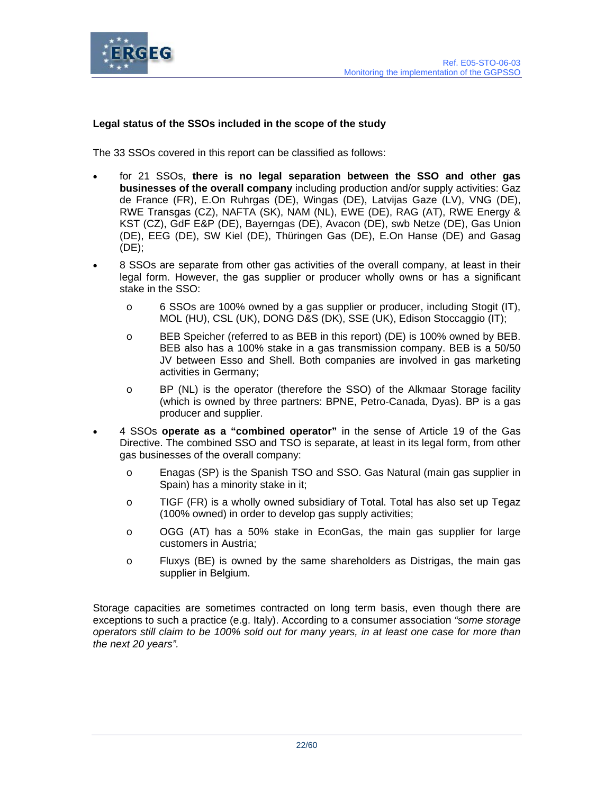

## **Legal status of the SSOs included in the scope of the study**

The 33 SSOs covered in this report can be classified as follows:

- for 21 SSOs, **there is no legal separation between the SSO and other gas businesses of the overall company** including production and/or supply activities: Gaz de France (FR), E.On Ruhrgas (DE), Wingas (DE), Latvijas Gaze (LV), VNG (DE), RWE Transgas (CZ), NAFTA (SK), NAM (NL), EWE (DE), RAG (AT), RWE Energy & KST (CZ), GdF E&P (DE), Bayerngas (DE), Avacon (DE), swb Netze (DE), Gas Union (DE), EEG (DE), SW Kiel (DE), Thüringen Gas (DE), E.On Hanse (DE) and Gasag (DE);
- 8 SSOs are separate from other gas activities of the overall company, at least in their legal form. However, the gas supplier or producer wholly owns or has a significant stake in the SSO:
	- o 6 SSOs are 100% owned by a gas supplier or producer, including Stogit (IT), MOL (HU), CSL (UK), DONG D&S (DK), SSE (UK), Edison Stoccaggio (IT);
	- o BEB Speicher (referred to as BEB in this report) (DE) is 100% owned by BEB. BEB also has a 100% stake in a gas transmission company. BEB is a 50/50 JV between Esso and Shell. Both companies are involved in gas marketing activities in Germany;
	- o BP (NL) is the operator (therefore the SSO) of the Alkmaar Storage facility (which is owned by three partners: BPNE, Petro-Canada, Dyas). BP is a gas producer and supplier.
- 4 SSOs **operate as a "combined operator"** in the sense of Article 19 of the Gas Directive. The combined SSO and TSO is separate, at least in its legal form, from other gas businesses of the overall company:
	- o Enagas (SP) is the Spanish TSO and SSO. Gas Natural (main gas supplier in Spain) has a minority stake in it;
	- o TIGF (FR) is a wholly owned subsidiary of Total. Total has also set up Tegaz (100% owned) in order to develop gas supply activities;
	- o OGG (AT) has a 50% stake in EconGas, the main gas supplier for large customers in Austria;
	- o Fluxys (BE) is owned by the same shareholders as Distrigas, the main gas supplier in Belgium.

Storage capacities are sometimes contracted on long term basis, even though there are exceptions to such a practice (e.g. Italy). According to a consumer association *"some storage operators still claim to be 100% sold out for many years, in at least one case for more than the next 20 years".*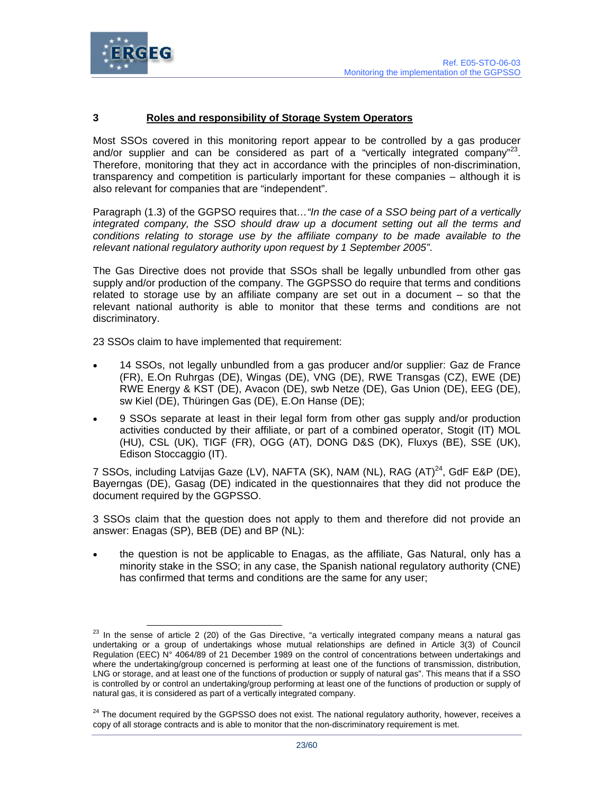

#### **3 Roles and responsibility of Storage System Operators**

Most SSOs covered in this monitoring report appear to be controlled by a gas producer and/or supplier and can be considered as part of a "vertically integrated company"23. Therefore, monitoring that they act in accordance with the principles of non-discrimination, transparency and competition is particularly important for these companies – although it is also relevant for companies that are "independent".

Paragraph (1.3) of the GGPSO requires that*…"In the case of a SSO being part of a vertically integrated company, the SSO should draw up a document setting out all the terms and conditions relating to storage use by the affiliate company to be made available to the relevant national regulatory authority upon request by 1 September 2005"*.

The Gas Directive does not provide that SSOs shall be legally unbundled from other gas supply and/or production of the company. The GGPSSO do require that terms and conditions related to storage use by an affiliate company are set out in a document – so that the relevant national authority is able to monitor that these terms and conditions are not discriminatory.

23 SSOs claim to have implemented that requirement:

- 14 SSOs, not legally unbundled from a gas producer and/or supplier: Gaz de France (FR), E.On Ruhrgas (DE), Wingas (DE), VNG (DE), RWE Transgas (CZ), EWE (DE) RWE Energy & KST (DE), Avacon (DE), swb Netze (DE), Gas Union (DE), EEG (DE), sw Kiel (DE), Thüringen Gas (DE), E.On Hanse (DE);
- 9 SSOs separate at least in their legal form from other gas supply and/or production activities conducted by their affiliate, or part of a combined operator, Stogit (IT) MOL (HU), CSL (UK), TIGF (FR), OGG (AT), DONG D&S (DK), Fluxys (BE), SSE (UK), Edison Stoccaggio (IT).

7 SSOs, including Latvijas Gaze (LV), NAFTA (SK), NAM (NL), RAG (AT)<sup>24</sup>, GdF E&P (DE), Bayerngas (DE), Gasag (DE) indicated in the questionnaires that they did not produce the document required by the GGPSSO.

3 SSOs claim that the question does not apply to them and therefore did not provide an answer: Enagas (SP), BEB (DE) and BP (NL):

• the question is not be applicable to Enagas, as the affiliate, Gas Natural, only has a minority stake in the SSO; in any case, the Spanish national regulatory authority (CNE) has confirmed that terms and conditions are the same for any user;

<sup>&</sup>lt;sup>23</sup> In the sense of article 2 (20) of the Gas Directive, "a vertically integrated company means a natural gas undertaking or a group of undertakings whose mutual relationships are defined in Article 3(3) of Council Regulation (EEC) N° 4064/89 of 21 December 1989 on the control of concentrations between undertakings and where the undertaking/group concerned is performing at least one of the functions of transmission, distribution, LNG or storage, and at least one of the functions of production or supply of natural gas". This means that if a SSO is controlled by or control an undertaking/group performing at least one of the functions of production or supply of natural gas, it is considered as part of a vertically integrated company.

<sup>&</sup>lt;sup>24</sup> The document required by the GGPSSO does not exist. The national regulatory authority, however, receives a copy of all storage contracts and is able to monitor that the non-discriminatory requirement is met.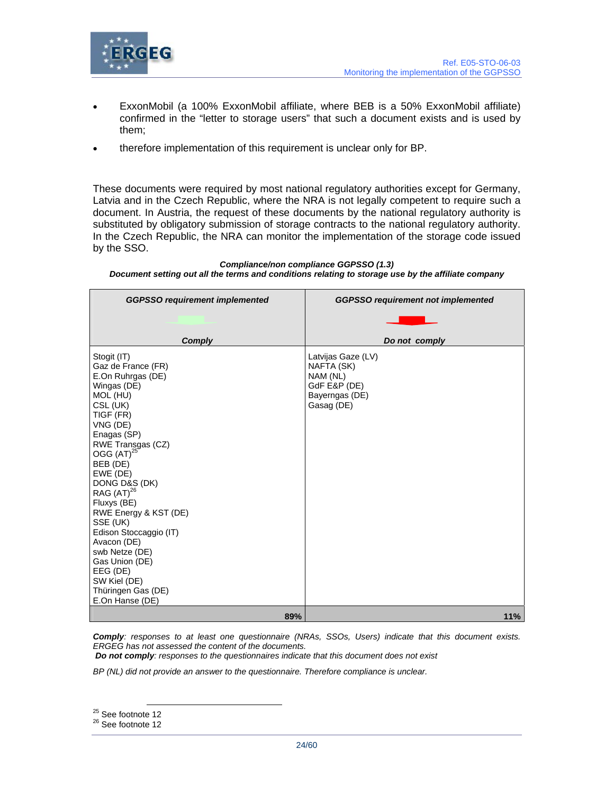



- ExxonMobil (a 100% ExxonMobil affiliate, where BEB is a 50% ExxonMobil affiliate) confirmed in the "letter to storage users" that such a document exists and is used by them;
- therefore implementation of this requirement is unclear only for BP.

These documents were required by most national regulatory authorities except for Germany, Latvia and in the Czech Republic, where the NRA is not legally competent to require such a document. In Austria, the request of these documents by the national regulatory authority is substituted by obligatory submission of storage contracts to the national regulatory authority. In the Czech Republic, the NRA can monitor the implementation of the storage code issued by the SSO.

# *Compliance/non compliance GGPSSO (1.3)*

*Document setting out all the terms and conditions relating to storage use by the affiliate company* 

| <b>GGPSSO requirement implemented</b>                                                                                                                                                                                                                                                                                                                                                                                                           | <b>GGPSSO</b> requirement not implemented                                                    |
|-------------------------------------------------------------------------------------------------------------------------------------------------------------------------------------------------------------------------------------------------------------------------------------------------------------------------------------------------------------------------------------------------------------------------------------------------|----------------------------------------------------------------------------------------------|
| Comply                                                                                                                                                                                                                                                                                                                                                                                                                                          | Do not comply                                                                                |
| Stogit (IT)<br>Gaz de France (FR)<br>E.On Ruhrgas (DE)<br>Wingas (DE)<br>MOL (HU)<br>CSL (UK)<br>TIGF (FR)<br>VNG (DE)<br>Enagas (SP)<br>RWE Transgas (CZ)<br>OGG $(AT)^{25}$<br>BEB (DE)<br>EWE (DE)<br>DONG D&S (DK)<br>RAG $(AT)^{26}$<br>Fluxys (BE)<br>RWE Energy & KST (DE)<br>SSE (UK)<br>Edison Stoccaggio (IT)<br>Avacon (DE)<br>swb Netze (DE)<br>Gas Union (DE)<br>EEG (DE)<br>SW Kiel (DE)<br>Thüringen Gas (DE)<br>E.On Hanse (DE) | Latvijas Gaze (LV)<br>NAFTA (SK)<br>NAM (NL)<br>GdF E&P (DE)<br>Bayerngas (DE)<br>Gasag (DE) |
| 89%                                                                                                                                                                                                                                                                                                                                                                                                                                             | 11%                                                                                          |

*Comply: responses to at least one questionnaire (NRAs, SSOs, Users) indicate that this document exists. ERGEG has not assessed the content of the documents.* 

 *Do not comply: responses to the questionnaires indicate that this document does not exist*

*BP (NL) did not provide an answer to the questionnaire. Therefore compliance is unclear.* 

 $25$  See footnote 12<br> $26$  See footnote 12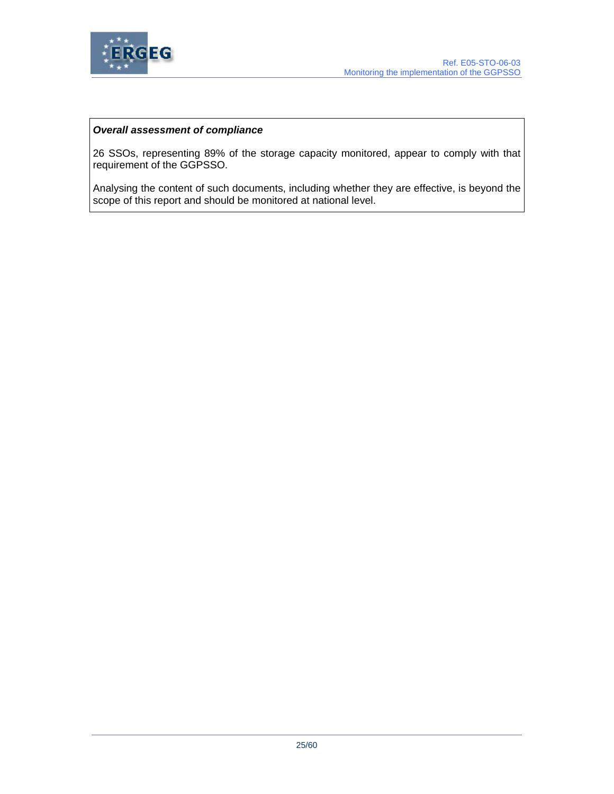

## *Overall assessment of compliance*

26 SSOs, representing 89% of the storage capacity monitored, appear to comply with that requirement of the GGPSSO.

Analysing the content of such documents, including whether they are effective, is beyond the scope of this report and should be monitored at national level.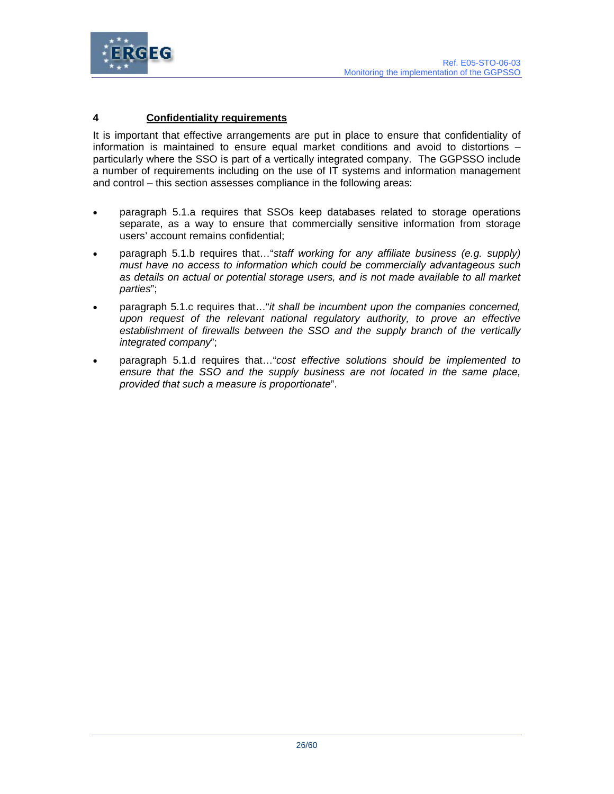

## **4 Confidentiality requirements**

It is important that effective arrangements are put in place to ensure that confidentiality of information is maintained to ensure equal market conditions and avoid to distortions – particularly where the SSO is part of a vertically integrated company. The GGPSSO include a number of requirements including on the use of IT systems and information management and control – this section assesses compliance in the following areas:

- paragraph 5.1.a requires that SSOs keep databases related to storage operations separate, as a way to ensure that commercially sensitive information from storage users' account remains confidential;
- paragraph 5.1.b requires that…"*staff working for any affiliate business (e.g. supply) must have no access to information which could be commercially advantageous such as details on actual or potential storage users, and is not made available to all market parties*";
- paragraph 5.1.c requires that…"*it shall be incumbent upon the companies concerned, upon request of the relevant national regulatory authority, to prove an effective establishment of firewalls between the SSO and the supply branch of the vertically integrated company*";
- paragraph 5.1.d requires that…"*cost effective solutions should be implemented to ensure that the SSO and the supply business are not located in the same place, provided that such a measure is proportionate*".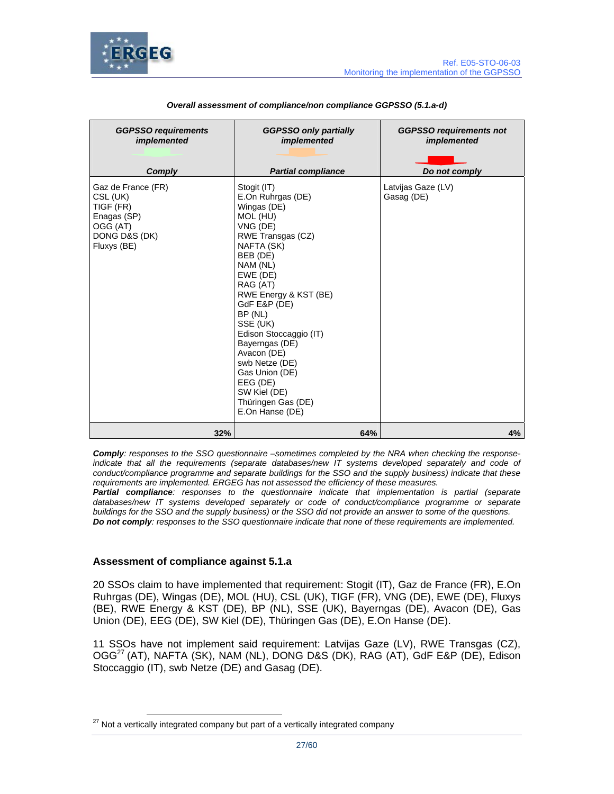

| <b>GGPSSO</b> requirements<br><i>implemented</i>                                                       | <b>GGPSSO only partially</b><br>implemented                                                                                                                                                                                                                                                                                                                                                    | <b>GGPSSO</b> requirements not<br>implemented |
|--------------------------------------------------------------------------------------------------------|------------------------------------------------------------------------------------------------------------------------------------------------------------------------------------------------------------------------------------------------------------------------------------------------------------------------------------------------------------------------------------------------|-----------------------------------------------|
| Comply                                                                                                 | <b>Partial compliance</b>                                                                                                                                                                                                                                                                                                                                                                      | Do not comply                                 |
| Gaz de France (FR)<br>CSL (UK)<br>TIGF (FR)<br>Enagas (SP)<br>OGG (AT)<br>DONG D&S (DK)<br>Fluxys (BE) | Stogit (IT)<br>E.On Ruhrgas (DE)<br>Wingas (DE)<br>MOL (HU)<br>VNG (DE)<br>RWE Transgas (CZ)<br>NAFTA (SK)<br>BEB (DE)<br>NAM (NL)<br>EWE (DE)<br>RAG (AT)<br>RWE Energy & KST (BE)<br>GdF E&P (DE)<br>BP (NL)<br>SSE (UK)<br>Edison Stoccaggio (IT)<br>Bayerngas (DE)<br>Avacon (DE)<br>swb Netze (DE)<br>Gas Union (DE)<br>EEG (DE)<br>SW Kiel (DE)<br>Thüringen Gas (DE)<br>E.On Hanse (DE) | Latvijas Gaze (LV)<br>Gasag (DE)              |
| 32%                                                                                                    | 64%                                                                                                                                                                                                                                                                                                                                                                                            | 4%                                            |

#### *Overall assessment of compliance/non compliance GGPSSO (5.1.a-d)*

*Comply: responses to the SSO questionnaire –sometimes completed by the NRA when checking the responseindicate that all the requirements (separate databases/new IT systems developed separately and code of conduct/compliance programme and separate buildings for the SSO and the supply business) indicate that these requirements are implemented. ERGEG has not assessed the efficiency of these measures.* 

**Partial compliance**: responses to the questionnaire indicate that implementation is partial (separate databases/new IT systems developed separately or code of conduct/compliance programme or separate *buildings for the SSO and the supply business) or the SSO did not provide an answer to some of the questions. Do not comply: responses to the SSO questionnaire indicate that none of these requirements are implemented.* 

#### **Assessment of compliance against 5.1.a**

20 SSOs claim to have implemented that requirement: Stogit (IT), Gaz de France (FR), E.On Ruhrgas (DE), Wingas (DE), MOL (HU), CSL (UK), TIGF (FR), VNG (DE), EWE (DE), Fluxys (BE), RWE Energy & KST (DE), BP (NL), SSE (UK), Bayerngas (DE), Avacon (DE), Gas Union (DE), EEG (DE), SW Kiel (DE), Thüringen Gas (DE), E.On Hanse (DE).

11 SSOs have not implement said requirement: Latvijas Gaze (LV), RWE Transgas (CZ), OGG<sup>27</sup> (AT), NAFTA (SK), NAM (NL), DONG D&S (DK), RAG (AT), GdF E&P (DE), Edison Stoccaggio (IT), swb Netze (DE) and Gasag (DE).

 $27$  Not a vertically integrated company but part of a vertically integrated company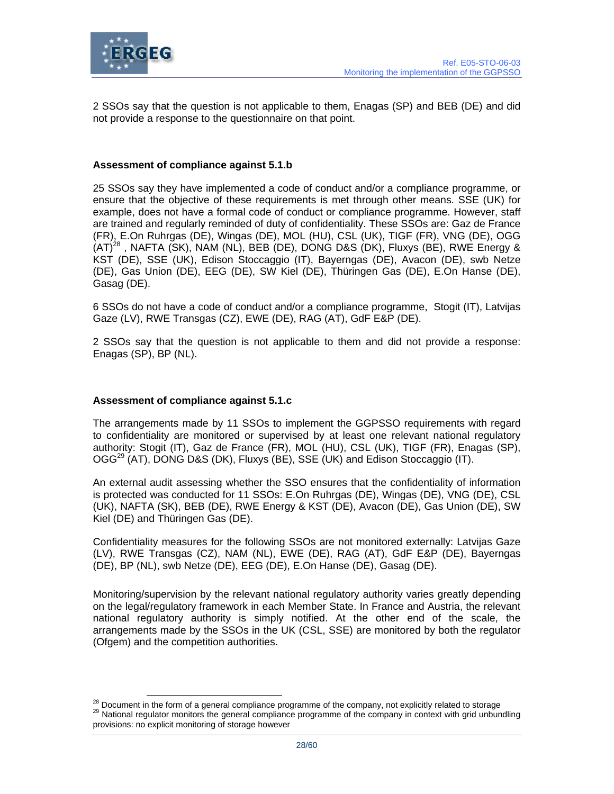

2 SSOs say that the question is not applicable to them, Enagas (SP) and BEB (DE) and did not provide a response to the questionnaire on that point.

#### **Assessment of compliance against 5.1.b**

25 SSOs say they have implemented a code of conduct and/or a compliance programme, or ensure that the objective of these requirements is met through other means. SSE (UK) for example, does not have a formal code of conduct or compliance programme. However, staff are trained and regularly reminded of duty of confidentiality. These SSOs are: Gaz de France (FR), E.On Ruhrgas (DE), Wingas (DE), MOL (HU), CSL (UK), TIGF (FR), VNG (DE), OGG (AT)28 , NAFTA (SK), NAM (NL), BEB (DE), DONG D&S (DK), Fluxys (BE), RWE Energy & KST (DE), SSE (UK), Edison Stoccaggio (IT), Bayerngas (DE), Avacon (DE), swb Netze (DE), Gas Union (DE), EEG (DE), SW Kiel (DE), Thüringen Gas (DE), E.On Hanse (DE), Gasag (DE).

6 SSOs do not have a code of conduct and/or a compliance programme, Stogit (IT), Latvijas Gaze (LV), RWE Transgas (CZ), EWE (DE), RAG (AT), GdF E&P (DE).

2 SSOs say that the question is not applicable to them and did not provide a response: Enagas (SP), BP (NL).

#### **Assessment of compliance against 5.1.c**

The arrangements made by 11 SSOs to implement the GGPSSO requirements with regard to confidentiality are monitored or supervised by at least one relevant national regulatory authority: Stogit (IT), Gaz de France (FR), MOL (HU), CSL (UK), TIGF (FR), Enagas (SP), OGG29 (AT), DONG D&S (DK), Fluxys (BE), SSE (UK) and Edison Stoccaggio (IT).

An external audit assessing whether the SSO ensures that the confidentiality of information is protected was conducted for 11 SSOs: E.On Ruhrgas (DE), Wingas (DE), VNG (DE), CSL (UK), NAFTA (SK), BEB (DE), RWE Energy & KST (DE), Avacon (DE), Gas Union (DE), SW Kiel (DE) and Thüringen Gas (DE).

Confidentiality measures for the following SSOs are not monitored externally: Latvijas Gaze (LV), RWE Transgas (CZ), NAM (NL), EWE (DE), RAG (AT), GdF E&P (DE), Bayerngas (DE), BP (NL), swb Netze (DE), EEG (DE), E.On Hanse (DE), Gasag (DE).

Monitoring/supervision by the relevant national regulatory authority varies greatly depending on the legal/regulatory framework in each Member State. In France and Austria, the relevant national regulatory authority is simply notified. At the other end of the scale, the arrangements made by the SSOs in the UK (CSL, SSE) are monitored by both the regulator (Ofgem) and the competition authorities.

<sup>&</sup>lt;sup>28</sup> Document in the form of a general compliance programme of the company, not explicitly related to storage  $29$  National regulator monitors the general compliance programme of the company in context with grid unbundlin provisions: no explicit monitoring of storage however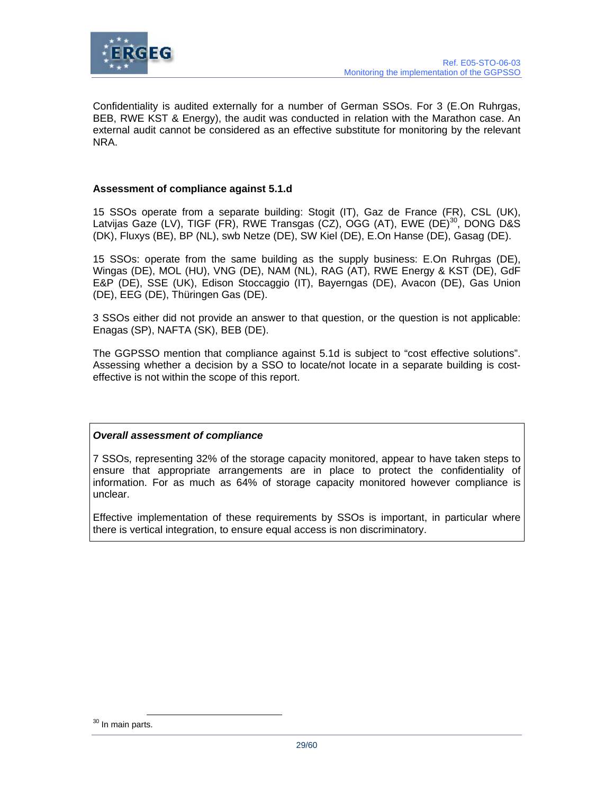

Confidentiality is audited externally for a number of German SSOs. For 3 (E.On Ruhrgas, BEB, RWE KST & Energy), the audit was conducted in relation with the Marathon case. An external audit cannot be considered as an effective substitute for monitoring by the relevant NRA.

#### **Assessment of compliance against 5.1.d**

15 SSOs operate from a separate building: Stogit (IT), Gaz de France (FR), CSL (UK), Latvijas Gaze (LV), TIGF (FR), RWE Transgas (CZ), OGG (AT), EWE (DE)<sup>30</sup>, DONG D&S (DK), Fluxys (BE), BP (NL), swb Netze (DE), SW Kiel (DE), E.On Hanse (DE), Gasag (DE).

15 SSOs: operate from the same building as the supply business: E.On Ruhrgas (DE), Wingas (DE), MOL (HU), VNG (DE), NAM (NL), RAG (AT), RWE Energy & KST (DE), GdF E&P (DE), SSE (UK), Edison Stoccaggio (IT), Bayerngas (DE), Avacon (DE), Gas Union (DE), EEG (DE), Thüringen Gas (DE).

3 SSOs either did not provide an answer to that question, or the question is not applicable: Enagas (SP), NAFTA (SK), BEB (DE).

The GGPSSO mention that compliance against 5.1d is subject to "cost effective solutions". Assessing whether a decision by a SSO to locate/not locate in a separate building is costeffective is not within the scope of this report.

#### *Overall assessment of compliance*

7 SSOs, representing 32% of the storage capacity monitored, appear to have taken steps to ensure that appropriate arrangements are in place to protect the confidentiality of information. For as much as 64% of storage capacity monitored however compliance is unclear.

Effective implementation of these requirements by SSOs is important, in particular where there is vertical integration, to ensure equal access is non discriminatory.

 $30$  In main parts.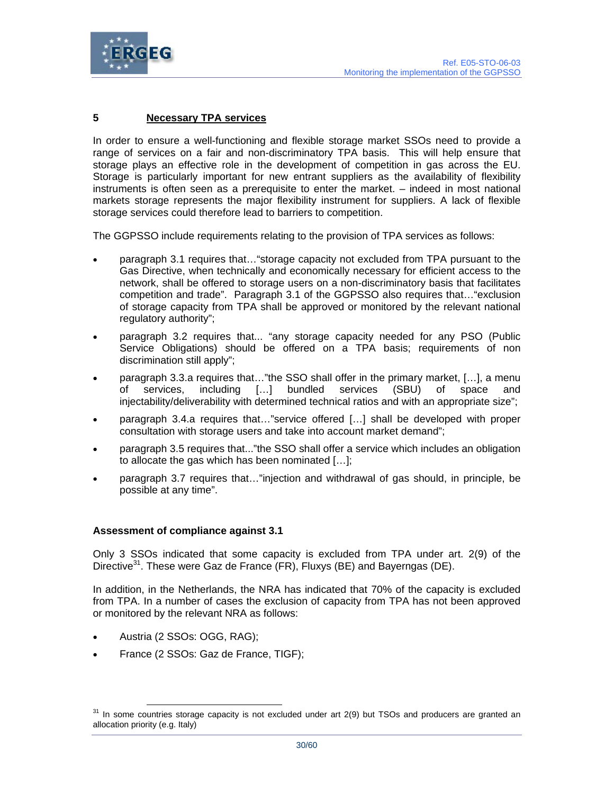

## **5 Necessary TPA services**

In order to ensure a well-functioning and flexible storage market SSOs need to provide a range of services on a fair and non-discriminatory TPA basis. This will help ensure that storage plays an effective role in the development of competition in gas across the EU. Storage is particularly important for new entrant suppliers as the availability of flexibility instruments is often seen as a prerequisite to enter the market. – indeed in most national markets storage represents the major flexibility instrument for suppliers. A lack of flexible storage services could therefore lead to barriers to competition.

The GGPSSO include requirements relating to the provision of TPA services as follows:

- paragraph 3.1 requires that... "storage capacity not excluded from TPA pursuant to the Gas Directive, when technically and economically necessary for efficient access to the network, shall be offered to storage users on a non-discriminatory basis that facilitates competition and trade". Paragraph 3.1 of the GGPSSO also requires that…"exclusion of storage capacity from TPA shall be approved or monitored by the relevant national regulatory authority";
- paragraph 3.2 requires that... "any storage capacity needed for any PSO (Public Service Obligations) should be offered on a TPA basis; requirements of non discrimination still apply";
- paragraph 3.3.a requires that…"the SSO shall offer in the primary market, […], a menu of services, including […] bundled services (SBU) of space and injectability/deliverability with determined technical ratios and with an appropriate size";
- paragraph 3.4.a requires that…"service offered […] shall be developed with proper consultation with storage users and take into account market demand";
- paragraph 3.5 requires that..."the SSO shall offer a service which includes an obligation to allocate the gas which has been nominated […];
- paragraph 3.7 requires that…"injection and withdrawal of gas should, in principle, be possible at any time".

#### **Assessment of compliance against 3.1**

Only 3 SSOs indicated that some capacity is excluded from TPA under art. 2(9) of the Directive<sup>31</sup>. These were Gaz de France (FR), Fluxys (BE) and Bayerngas (DE).

In addition, in the Netherlands, the NRA has indicated that 70% of the capacity is excluded from TPA. In a number of cases the exclusion of capacity from TPA has not been approved or monitored by the relevant NRA as follows:

- Austria (2 SSOs: OGG, RAG);
- France (2 SSOs: Gaz de France, TIGF);

<sup>&</sup>lt;sup>31</sup> In some countries storage capacity is not excluded under art 2(9) but TSOs and producers are granted an allocation priority (e.g. Italy)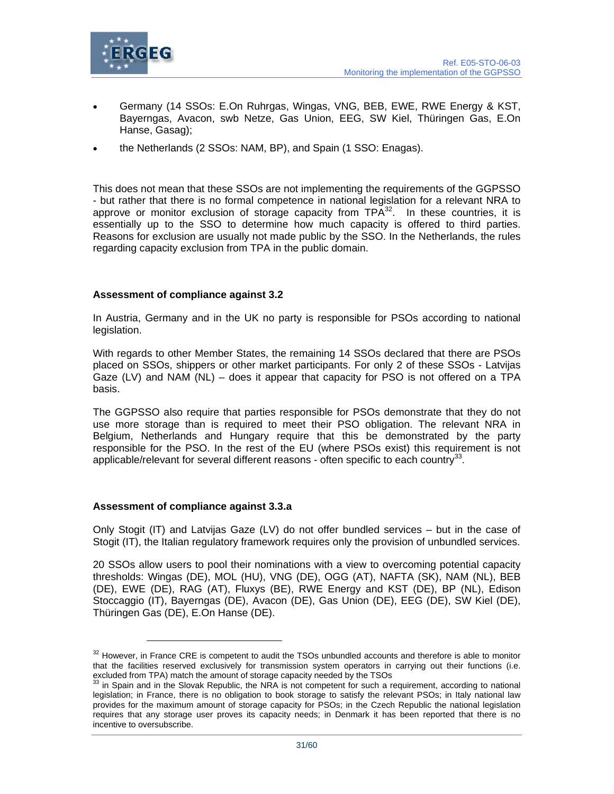

- Germany (14 SSOs: E.On Ruhrgas, Wingas, VNG, BEB, EWE, RWE Energy & KST, Bayerngas, Avacon, swb Netze, Gas Union, EEG, SW Kiel, Thüringen Gas, E.On Hanse, Gasag);
- the Netherlands (2 SSOs: NAM, BP), and Spain (1 SSO: Enagas).

This does not mean that these SSOs are not implementing the requirements of the GGPSSO - but rather that there is no formal competence in national legislation for a relevant NRA to approve or monitor exclusion of storage capacity from  $TPA<sup>32</sup>$ . In these countries, it is essentially up to the SSO to determine how much capacity is offered to third parties. Reasons for exclusion are usually not made public by the SSO. In the Netherlands, the rules regarding capacity exclusion from TPA in the public domain.

#### **Assessment of compliance against 3.2**

In Austria, Germany and in the UK no party is responsible for PSOs according to national legislation.

With regards to other Member States, the remaining 14 SSOs declared that there are PSOs placed on SSOs, shippers or other market participants. For only 2 of these SSOs - Latvijas Gaze (LV) and NAM (NL) – does it appear that capacity for PSO is not offered on a TPA basis.

The GGPSSO also require that parties responsible for PSOs demonstrate that they do not use more storage than is required to meet their PSO obligation. The relevant NRA in Belgium, Netherlands and Hungary require that this be demonstrated by the party responsible for the PSO. In the rest of the EU (where PSOs exist) this requirement is not applicable/relevant for several different reasons - often specific to each country $33$ .

#### **Assessment of compliance against 3.3.a**

 $\overline{a}$ 

Only Stogit (IT) and Latvijas Gaze (LV) do not offer bundled services – but in the case of Stogit (IT), the Italian regulatory framework requires only the provision of unbundled services.

20 SSOs allow users to pool their nominations with a view to overcoming potential capacity thresholds: Wingas (DE), MOL (HU), VNG (DE), OGG (AT), NAFTA (SK), NAM (NL), BEB (DE), EWE (DE), RAG (AT), Fluxys (BE), RWE Energy and KST (DE), BP (NL), Edison Stoccaggio (IT), Bayerngas (DE), Avacon (DE), Gas Union (DE), EEG (DE), SW Kiel (DE), Thüringen Gas (DE), E.On Hanse (DE).

<sup>&</sup>lt;sup>32</sup> However, in France CRE is competent to audit the TSOs unbundled accounts and therefore is able to monitor that the facilities reserved exclusively for transmission system operators in carrying out their functions (i.e.

excluded from TPA) match the amount of storage capacity needed by the TSOs<br><sup>33</sup> in Spain and in the Slovak Republic, the NRA is not competent for such a requirement, according to national legislation; in France, there is no obligation to book storage to satisfy the relevant PSOs; in Italy national law provides for the maximum amount of storage capacity for PSOs; in the Czech Republic the national legislation requires that any storage user proves its capacity needs; in Denmark it has been reported that there is no incentive to oversubscribe.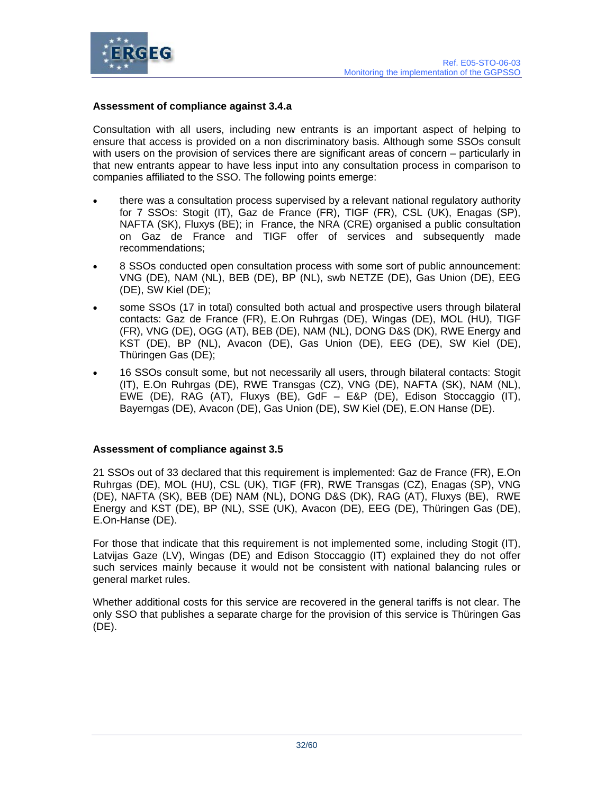

#### **Assessment of compliance against 3.4.a**

Consultation with all users, including new entrants is an important aspect of helping to ensure that access is provided on a non discriminatory basis. Although some SSOs consult with users on the provision of services there are significant areas of concern – particularly in that new entrants appear to have less input into any consultation process in comparison to companies affiliated to the SSO. The following points emerge:

- there was a consultation process supervised by a relevant national regulatory authority for 7 SSOs: Stogit (IT), Gaz de France (FR), TIGF (FR), CSL (UK), Enagas (SP), NAFTA (SK), Fluxys (BE); in France, the NRA (CRE) organised a public consultation on Gaz de France and TIGF offer of services and subsequently made recommendations;
- 8 SSOs conducted open consultation process with some sort of public announcement: VNG (DE), NAM (NL), BEB (DE), BP (NL), swb NETZE (DE), Gas Union (DE), EEG (DE), SW Kiel (DE);
- some SSOs (17 in total) consulted both actual and prospective users through bilateral contacts: Gaz de France (FR), E.On Ruhrgas (DE), Wingas (DE), MOL (HU), TIGF (FR), VNG (DE), OGG (AT), BEB (DE), NAM (NL), DONG D&S (DK), RWE Energy and KST (DE), BP (NL), Avacon (DE), Gas Union (DE), EEG (DE), SW Kiel (DE), Thüringen Gas (DE);
- 16 SSOs consult some, but not necessarily all users, through bilateral contacts: Stogit (IT), E.On Ruhrgas (DE), RWE Transgas (CZ), VNG (DE), NAFTA (SK), NAM (NL), EWE (DE), RAG (AT), Fluxys (BE), GdF – E&P (DE), Edison Stoccaggio (IT), Bayerngas (DE), Avacon (DE), Gas Union (DE), SW Kiel (DE), E.ON Hanse (DE).

#### **Assessment of compliance against 3.5**

21 SSOs out of 33 declared that this requirement is implemented: Gaz de France (FR), E.On Ruhrgas (DE), MOL (HU), CSL (UK), TIGF (FR), RWE Transgas (CZ), Enagas (SP), VNG (DE), NAFTA (SK), BEB (DE) NAM (NL), DONG D&S (DK), RAG (AT), Fluxys (BE), RWE Energy and KST (DE), BP (NL), SSE (UK), Avacon (DE), EEG (DE), Thüringen Gas (DE), E.On-Hanse (DE).

For those that indicate that this requirement is not implemented some, including Stogit (IT), Latvijas Gaze (LV), Wingas (DE) and Edison Stoccaggio (IT) explained they do not offer such services mainly because it would not be consistent with national balancing rules or general market rules.

Whether additional costs for this service are recovered in the general tariffs is not clear. The only SSO that publishes a separate charge for the provision of this service is Thüringen Gas (DE).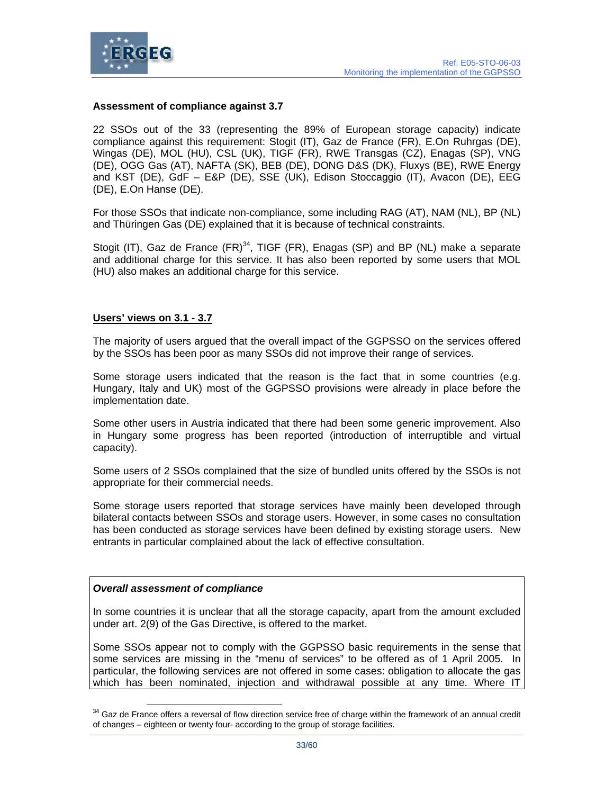

#### **Assessment of compliance against 3.7**

22 SSOs out of the 33 (representing the 89% of European storage capacity) indicate compliance against this requirement: Stogit (IT), Gaz de France (FR), E.On Ruhrgas (DE), Wingas (DE), MOL (HU), CSL (UK), TIGF (FR), RWE Transgas (CZ), Enagas (SP), VNG (DE), OGG Gas (AT), NAFTA (SK), BEB (DE), DONG D&S (DK), Fluxys (BE), RWE Energy and KST (DE), GdF – E&P (DE), SSE (UK), Edison Stoccaggio (IT), Avacon (DE), EEG (DE), E.On Hanse (DE).

For those SSOs that indicate non-compliance, some including RAG (AT), NAM (NL), BP (NL) and Thüringen Gas (DE) explained that it is because of technical constraints.

Stogit (IT), Gaz de France  $(FR)^{34}$ , TIGF (FR), Enagas (SP) and BP (NL) make a separate and additional charge for this service. It has also been reported by some users that MOL (HU) also makes an additional charge for this service.

#### **Users' views on 3.1 - 3.7**

The majority of users argued that the overall impact of the GGPSSO on the services offered by the SSOs has been poor as many SSOs did not improve their range of services.

Some storage users indicated that the reason is the fact that in some countries (e.g. Hungary, Italy and UK) most of the GGPSSO provisions were already in place before the implementation date.

Some other users in Austria indicated that there had been some generic improvement. Also in Hungary some progress has been reported (introduction of interruptible and virtual capacity).

Some users of 2 SSOs complained that the size of bundled units offered by the SSOs is not appropriate for their commercial needs.

Some storage users reported that storage services have mainly been developed through bilateral contacts between SSOs and storage users. However, in some cases no consultation has been conducted as storage services have been defined by existing storage users. New entrants in particular complained about the lack of effective consultation.

#### *Overall assessment of compliance*

In some countries it is unclear that all the storage capacity, apart from the amount excluded under art. 2(9) of the Gas Directive, is offered to the market.

Some SSOs appear not to comply with the GGPSSO basic requirements in the sense that some services are missing in the "menu of services" to be offered as of 1 April 2005. In particular, the following services are not offered in some cases: obligation to allocate the gas which has been nominated, injection and withdrawal possible at any time. Where IT

<sup>&</sup>lt;sup>34</sup> Gaz de France offers a reversal of flow direction service free of charge within the framework of an annual credit of changes – eighteen or twenty four- according to the group of storage facilities.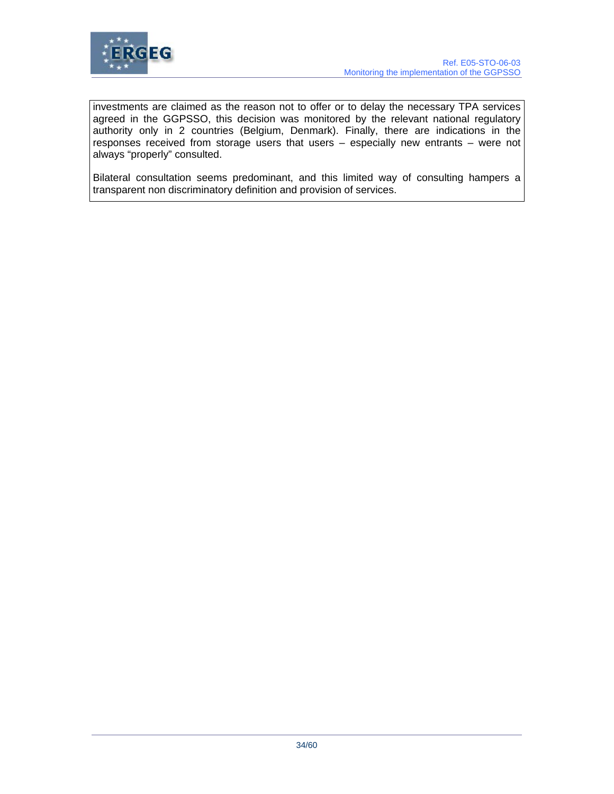

investments are claimed as the reason not to offer or to delay the necessary TPA services agreed in the GGPSSO, this decision was monitored by the relevant national regulatory authority only in 2 countries (Belgium, Denmark). Finally, there are indications in the responses received from storage users that users – especially new entrants – were not always "properly" consulted.

Bilateral consultation seems predominant, and this limited way of consulting hampers a transparent non discriminatory definition and provision of services.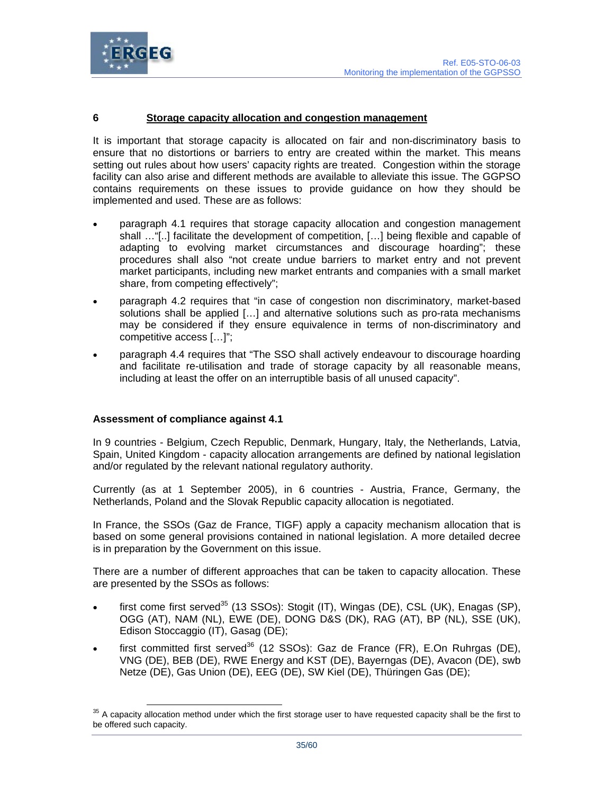



## **6 Storage capacity allocation and congestion management**

It is important that storage capacity is allocated on fair and non-discriminatory basis to ensure that no distortions or barriers to entry are created within the market. This means setting out rules about how users' capacity rights are treated. Congestion within the storage facility can also arise and different methods are available to alleviate this issue. The GGPSO contains requirements on these issues to provide guidance on how they should be implemented and used. These are as follows:

- paragraph 4.1 requires that storage capacity allocation and congestion management shall …"[..] facilitate the development of competition, […] being flexible and capable of adapting to evolving market circumstances and discourage hoarding"; these procedures shall also "not create undue barriers to market entry and not prevent market participants, including new market entrants and companies with a small market share, from competing effectively";
- paragraph 4.2 requires that "in case of congestion non discriminatory, market-based solutions shall be applied […] and alternative solutions such as pro-rata mechanisms may be considered if they ensure equivalence in terms of non-discriminatory and competitive access […]";
- paragraph 4.4 requires that "The SSO shall actively endeavour to discourage hoarding and facilitate re-utilisation and trade of storage capacity by all reasonable means, including at least the offer on an interruptible basis of all unused capacity".

#### **Assessment of compliance against 4.1**

In 9 countries - Belgium, Czech Republic, Denmark, Hungary, Italy, the Netherlands, Latvia, Spain, United Kingdom - capacity allocation arrangements are defined by national legislation and/or regulated by the relevant national regulatory authority.

Currently (as at 1 September 2005), in 6 countries - Austria, France, Germany, the Netherlands, Poland and the Slovak Republic capacity allocation is negotiated.

In France, the SSOs (Gaz de France, TIGF) apply a capacity mechanism allocation that is based on some general provisions contained in national legislation. A more detailed decree is in preparation by the Government on this issue.

There are a number of different approaches that can be taken to capacity allocation. These are presented by the SSOs as follows:

- first come first served<sup>35</sup> (13 SSOs): Stogit (IT), Wingas (DE), CSL (UK), Enagas (SP), OGG (AT), NAM (NL), EWE (DE), DONG D&S (DK), RAG (AT), BP (NL), SSE (UK), Edison Stoccaggio (IT), Gasag (DE);
- first committed first served $36$  (12 SSOs): Gaz de France (FR), E.On Ruhrgas (DE), VNG (DE), BEB (DE), RWE Energy and KST (DE), Bayerngas (DE), Avacon (DE), swb Netze (DE), Gas Union (DE), EEG (DE), SW Kiel (DE), Thüringen Gas (DE);

 $35$  A capacity allocation method under which the first storage user to have requested capacity shall be the first to be offered such capacity.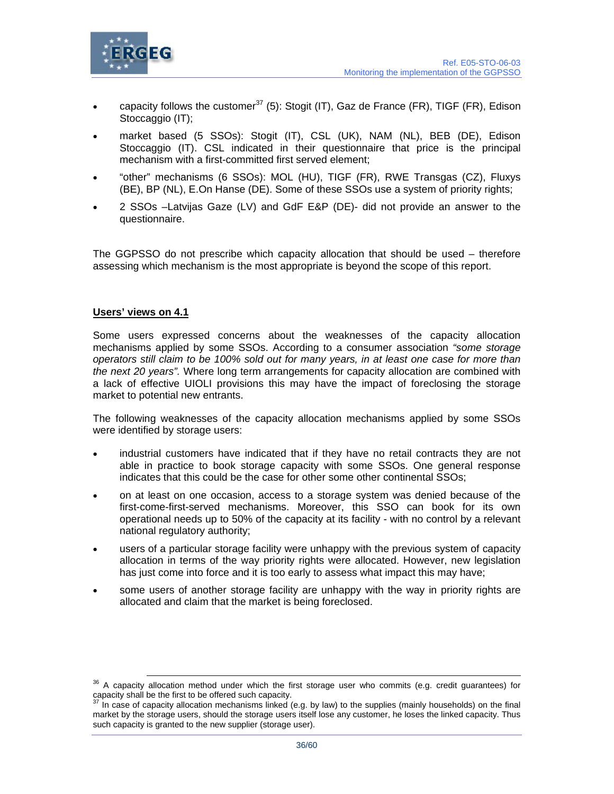

- capacity follows the customer<sup>37</sup> (5): Stogit (IT), Gaz de France (FR), TIGF (FR), Edison Stoccaggio (IT);
- market based (5 SSOs): Stogit (IT), CSL (UK), NAM (NL), BEB (DE), Edison Stoccaggio (IT). CSL indicated in their questionnaire that price is the principal mechanism with a first-committed first served element;
- "other" mechanisms (6 SSOs): MOL (HU), TIGF (FR), RWE Transgas (CZ), Fluxys (BE), BP (NL), E.On Hanse (DE). Some of these SSOs use a system of priority rights;
- 2 SSOs –Latvijas Gaze (LV) and GdF E&P (DE)- did not provide an answer to the questionnaire.

The GGPSSO do not prescribe which capacity allocation that should be used – therefore assessing which mechanism is the most appropriate is beyond the scope of this report.

#### **Users' views on 4.1**

Some users expressed concerns about the weaknesses of the capacity allocation mechanisms applied by some SSOs. According to a consumer association *"some storage operators still claim to be 100% sold out for many years, in at least one case for more than the next 20 years".* Where long term arrangements for capacity allocation are combined with a lack of effective UIOLI provisions this may have the impact of foreclosing the storage market to potential new entrants.

The following weaknesses of the capacity allocation mechanisms applied by some SSOs were identified by storage users:

- industrial customers have indicated that if they have no retail contracts they are not able in practice to book storage capacity with some SSOs. One general response indicates that this could be the case for other some other continental SSOs;
- on at least on one occasion, access to a storage system was denied because of the first-come-first-served mechanisms. Moreover, this SSO can book for its own operational needs up to 50% of the capacity at its facility - with no control by a relevant national regulatory authority;
- users of a particular storage facility were unhappy with the previous system of capacity allocation in terms of the way priority rights were allocated. However, new legislation has just come into force and it is too early to assess what impact this may have;
- some users of another storage facility are unhappy with the way in priority rights are allocated and claim that the market is being foreclosed.

<sup>&</sup>lt;sup>36</sup> A capacity allocation method under which the first storage user who commits (e.g. credit guarantees) for capacity shall be the first to be offered such capacity.<br><sup>37</sup> In case of capacity allocation mechanisms linked (e.g. by law) to the supplies (mainly households) on the final

market by the storage users, should the storage users itself lose any customer, he loses the linked capacity. Thus such capacity is granted to the new supplier (storage user).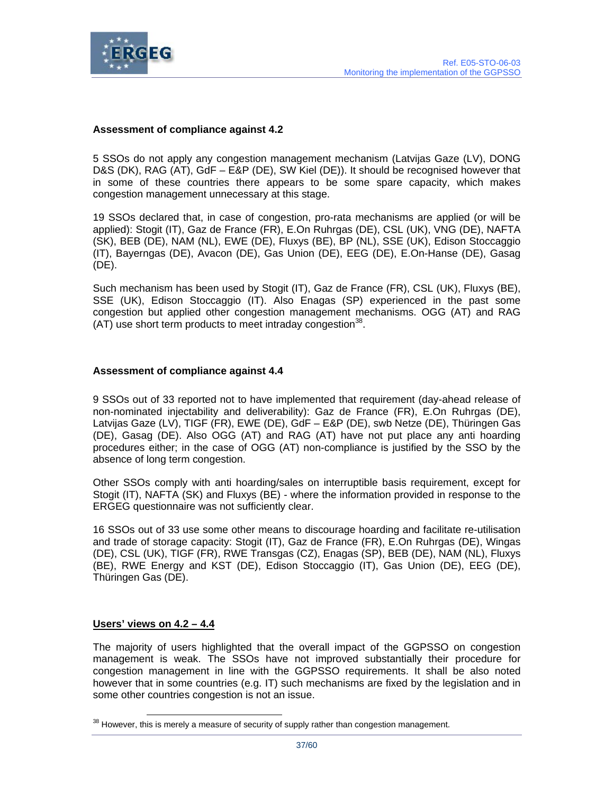

#### **Assessment of compliance against 4.2**

5 SSOs do not apply any congestion management mechanism (Latvijas Gaze (LV), DONG D&S (DK), RAG (AT), GdF – E&P (DE), SW Kiel (DE)). It should be recognised however that in some of these countries there appears to be some spare capacity, which makes congestion management unnecessary at this stage.

19 SSOs declared that, in case of congestion, pro-rata mechanisms are applied (or will be applied): Stogit (IT), Gaz de France (FR), E.On Ruhrgas (DE), CSL (UK), VNG (DE), NAFTA (SK), BEB (DE), NAM (NL), EWE (DE), Fluxys (BE), BP (NL), SSE (UK), Edison Stoccaggio (IT), Bayerngas (DE), Avacon (DE), Gas Union (DE), EEG (DE), E.On-Hanse (DE), Gasag (DE).

Such mechanism has been used by Stogit (IT), Gaz de France (FR), CSL (UK), Fluxys (BE), SSE (UK), Edison Stoccaggio (IT). Also Enagas (SP) experienced in the past some congestion but applied other congestion management mechanisms. OGG (AT) and RAG  $(AT)$  use short term products to meet intraday congestion<sup>38</sup>.

#### **Assessment of compliance against 4.4**

9 SSOs out of 33 reported not to have implemented that requirement (day-ahead release of non-nominated injectability and deliverability): Gaz de France (FR), E.On Ruhrgas (DE), Latvijas Gaze (LV), TIGF (FR), EWE (DE), GdF – E&P (DE), swb Netze (DE), Thüringen Gas (DE), Gasag (DE). Also OGG (AT) and RAG (AT) have not put place any anti hoarding procedures either; in the case of OGG (AT) non-compliance is justified by the SSO by the absence of long term congestion.

Other SSOs comply with anti hoarding/sales on interruptible basis requirement, except for Stogit (IT), NAFTA (SK) and Fluxys (BE) - where the information provided in response to the ERGEG questionnaire was not sufficiently clear.

16 SSOs out of 33 use some other means to discourage hoarding and facilitate re-utilisation and trade of storage capacity: Stogit (IT), Gaz de France (FR), E.On Ruhrgas (DE), Wingas (DE), CSL (UK), TIGF (FR), RWE Transgas (CZ), Enagas (SP), BEB (DE), NAM (NL), Fluxys (BE), RWE Energy and KST (DE), Edison Stoccaggio (IT), Gas Union (DE), EEG (DE), Thüringen Gas (DE).

#### **Users' views on 4.2 – 4.4**

The majority of users highlighted that the overall impact of the GGPSSO on congestion management is weak. The SSOs have not improved substantially their procedure for congestion management in line with the GGPSSO requirements. It shall be also noted however that in some countries (e.g. IT) such mechanisms are fixed by the legislation and in some other countries congestion is not an issue.

 $38$  However, this is merely a measure of security of supply rather than congestion management.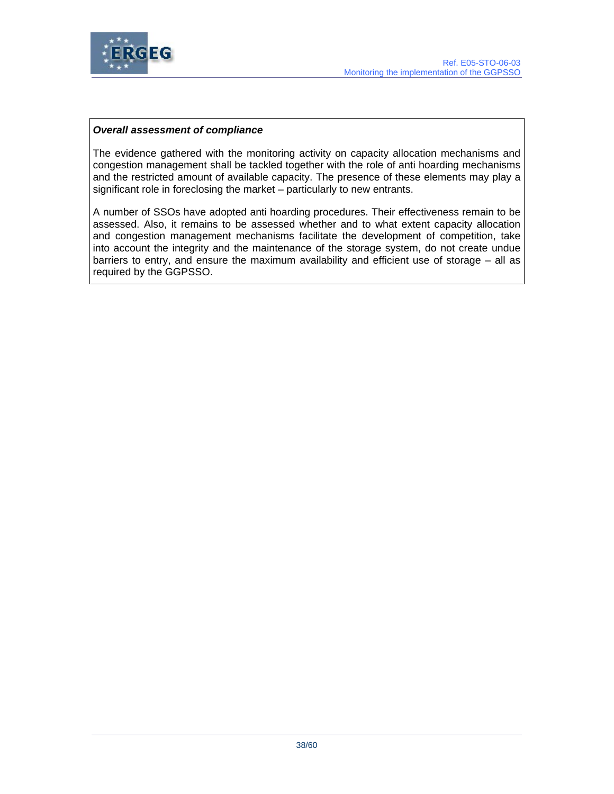

## *Overall assessment of compliance*

The evidence gathered with the monitoring activity on capacity allocation mechanisms and congestion management shall be tackled together with the role of anti hoarding mechanisms and the restricted amount of available capacity. The presence of these elements may play a significant role in foreclosing the market – particularly to new entrants.

A number of SSOs have adopted anti hoarding procedures. Their effectiveness remain to be assessed. Also, it remains to be assessed whether and to what extent capacity allocation and congestion management mechanisms facilitate the development of competition, take into account the integrity and the maintenance of the storage system, do not create undue barriers to entry, and ensure the maximum availability and efficient use of storage – all as required by the GGPSSO.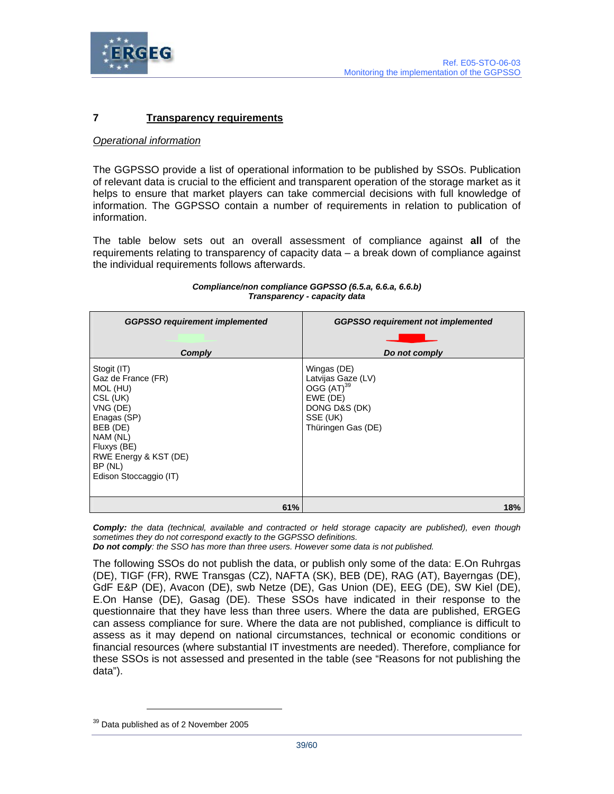

## **7 Transparency requirements**

#### *Operational information*

The GGPSSO provide a list of operational information to be published by SSOs. Publication of relevant data is crucial to the efficient and transparent operation of the storage market as it helps to ensure that market players can take commercial decisions with full knowledge of information. The GGPSSO contain a number of requirements in relation to publication of information.

The table below sets out an overall assessment of compliance against **all** of the requirements relating to transparency of capacity data – a break down of compliance against the individual requirements follows afterwards.

| Compliance/non compliance GGPSSO (6.5.a, 6.6.a, 6.6.b) |  |
|--------------------------------------------------------|--|
| Transparency - capacity data                           |  |

| <b>GGPSSO</b> requirement implemented                                                                                                                                                     | <b>GGPSSO</b> requirement not implemented                                                                           |
|-------------------------------------------------------------------------------------------------------------------------------------------------------------------------------------------|---------------------------------------------------------------------------------------------------------------------|
|                                                                                                                                                                                           |                                                                                                                     |
| Comply                                                                                                                                                                                    | Do not comply                                                                                                       |
| Stogit (IT)<br>Gaz de France (FR)<br>MOL (HU)<br>CSL (UK)<br>VNG (DE)<br>Enagas (SP)<br>BEB (DE)<br>NAM (NL)<br>Fluxys (BE)<br>RWE Energy & KST (DE)<br>BP (NL)<br>Edison Stoccaggio (IT) | Wingas (DE)<br>Latvijas Gaze (LV)<br>OGG $(AT)^{39}$<br>EWE (DE)<br>DONG D&S (DK)<br>SSE (UK)<br>Thüringen Gas (DE) |
| 61%                                                                                                                                                                                       | 18%                                                                                                                 |

*Comply: the data (technical, available and contracted or held storage capacity are published), even though sometimes they do not correspond exactly to the GGPSSO definitions.* 

*Do not comply: the SSO has more than three users. However some data is not published.*

The following SSOs do not publish the data, or publish only some of the data: E.On Ruhrgas (DE), TIGF (FR), RWE Transgas (CZ), NAFTA (SK), BEB (DE), RAG (AT), Bayerngas (DE), GdF E&P (DE), Avacon (DE), swb Netze (DE), Gas Union (DE), EEG (DE), SW Kiel (DE), E.On Hanse (DE), Gasag (DE). These SSOs have indicated in their response to the questionnaire that they have less than three users. Where the data are published, ERGEG can assess compliance for sure. Where the data are not published, compliance is difficult to assess as it may depend on national circumstances, technical or economic conditions or financial resources (where substantial IT investments are needed). Therefore, compliance for these SSOs is not assessed and presented in the table (see "Reasons for not publishing the data").

l

<sup>&</sup>lt;sup>39</sup> Data published as of 2 November 2005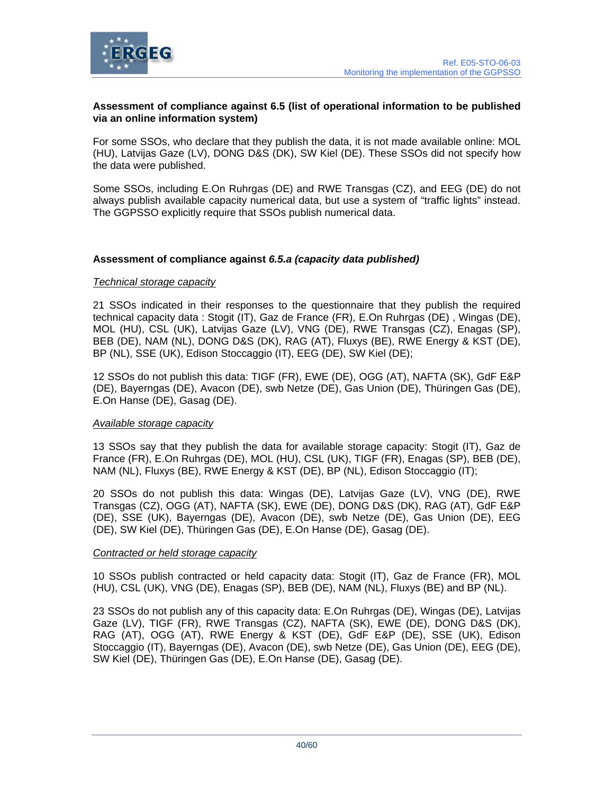

#### **Assessment of compliance against 6.5 (list of operational information to be published via an online information system)**

For some SSOs, who declare that they publish the data, it is not made available online: MOL (HU), Latvijas Gaze (LV), DONG D&S (DK), SW Kiel (DE). These SSOs did not specify how the data were published.

Some SSOs, including E.On Ruhrgas (DE) and RWE Transgas (CZ), and EEG (DE) do not always publish available capacity numerical data, but use a system of "traffic lights" instead. The GGPSSO explicitly require that SSOs publish numerical data.

#### **Assessment of compliance against** *6.5.a (capacity data published)*

#### *Technical storage capacity*

21 SSOs indicated in their responses to the questionnaire that they publish the required technical capacity data : Stogit (IT), Gaz de France (FR), E.On Ruhrgas (DE) , Wingas (DE), MOL (HU), CSL (UK), Latvijas Gaze (LV), VNG (DE), RWE Transgas (CZ), Enagas (SP), BEB (DE), NAM (NL), DONG D&S (DK), RAG (AT), Fluxys (BE), RWE Energy & KST (DE), BP (NL), SSE (UK), Edison Stoccaggio (IT), EEG (DE), SW Kiel (DE);

12 SSOs do not publish this data: TIGF (FR), EWE (DE), OGG (AT), NAFTA (SK), GdF E&P (DE), Bayerngas (DE), Avacon (DE), swb Netze (DE), Gas Union (DE), Thüringen Gas (DE), E.On Hanse (DE), Gasag (DE).

#### *Available storage capacity*

13 SSOs say that they publish the data for available storage capacity: Stogit (IT), Gaz de France (FR), E.On Ruhrgas (DE), MOL (HU), CSL (UK), TIGF (FR), Enagas (SP), BEB (DE), NAM (NL), Fluxys (BE), RWE Energy & KST (DE), BP (NL), Edison Stoccaggio (IT);

20 SSOs do not publish this data: Wingas (DE), Latvijas Gaze (LV), VNG (DE), RWE Transgas (CZ), OGG (AT), NAFTA (SK), EWE (DE), DONG D&S (DK), RAG (AT), GdF E&P (DE), SSE (UK), Bayerngas (DE), Avacon (DE), swb Netze (DE), Gas Union (DE), EEG (DE), SW Kiel (DE), Thüringen Gas (DE), E.On Hanse (DE), Gasag (DE).

#### *Contracted or held storage capacity*

10 SSOs publish contracted or held capacity data: Stogit (IT), Gaz de France (FR), MOL (HU), CSL (UK), VNG (DE), Enagas (SP), BEB (DE), NAM (NL), Fluxys (BE) and BP (NL).

23 SSOs do not publish any of this capacity data: E.On Ruhrgas (DE), Wingas (DE), Latvijas Gaze (LV), TIGF (FR), RWE Transgas (CZ), NAFTA (SK), EWE (DE), DONG D&S (DK), RAG (AT), OGG (AT), RWE Energy & KST (DE), GdF E&P (DE), SSE (UK), Edison Stoccaggio (IT), Bayerngas (DE), Avacon (DE), swb Netze (DE), Gas Union (DE), EEG (DE), SW Kiel (DE), Thüringen Gas (DE), E.On Hanse (DE), Gasag (DE).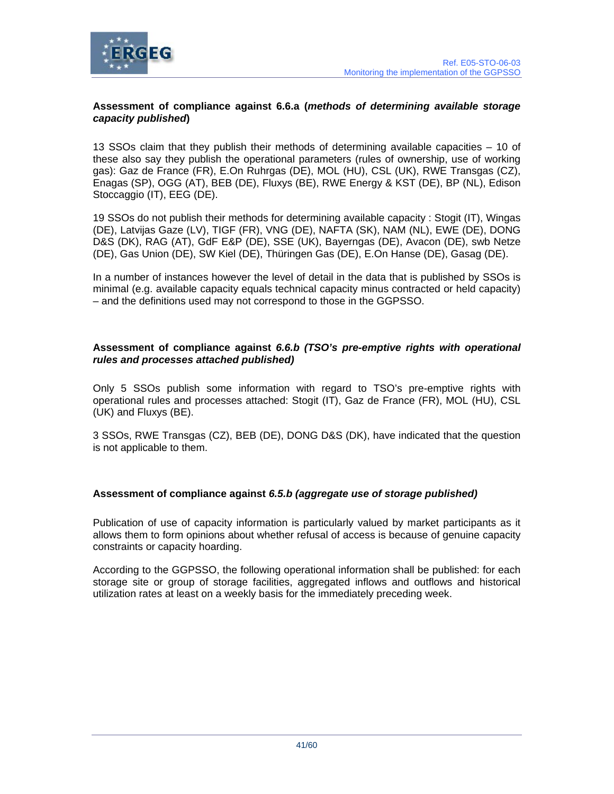

#### **Assessment of compliance against 6.6.a (***methods of determining available storage capacity published***)**

13 SSOs claim that they publish their methods of determining available capacities – 10 of these also say they publish the operational parameters (rules of ownership, use of working gas): Gaz de France (FR), E.On Ruhrgas (DE), MOL (HU), CSL (UK), RWE Transgas (CZ), Enagas (SP), OGG (AT), BEB (DE), Fluxys (BE), RWE Energy & KST (DE), BP (NL), Edison Stoccaggio (IT), EEG (DE).

19 SSOs do not publish their methods for determining available capacity : Stogit (IT), Wingas (DE), Latvijas Gaze (LV), TIGF (FR), VNG (DE), NAFTA (SK), NAM (NL), EWE (DE), DONG D&S (DK), RAG (AT), GdF E&P (DE), SSE (UK), Bayerngas (DE), Avacon (DE), swb Netze (DE), Gas Union (DE), SW Kiel (DE), Thüringen Gas (DE), E.On Hanse (DE), Gasag (DE).

In a number of instances however the level of detail in the data that is published by SSOs is minimal (e.g. available capacity equals technical capacity minus contracted or held capacity) – and the definitions used may not correspond to those in the GGPSSO.

#### **Assessment of compliance against** *6.6.b (TSO's pre-emptive rights with operational rules and processes attached published)*

Only 5 SSOs publish some information with regard to TSO's pre-emptive rights with operational rules and processes attached: Stogit (IT), Gaz de France (FR), MOL (HU), CSL (UK) and Fluxys (BE).

3 SSOs, RWE Transgas (CZ), BEB (DE), DONG D&S (DK), have indicated that the question is not applicable to them.

#### **Assessment of compliance against** *6.5.b (aggregate use of storage published)*

Publication of use of capacity information is particularly valued by market participants as it allows them to form opinions about whether refusal of access is because of genuine capacity constraints or capacity hoarding.

According to the GGPSSO, the following operational information shall be published: for each storage site or group of storage facilities, aggregated inflows and outflows and historical utilization rates at least on a weekly basis for the immediately preceding week.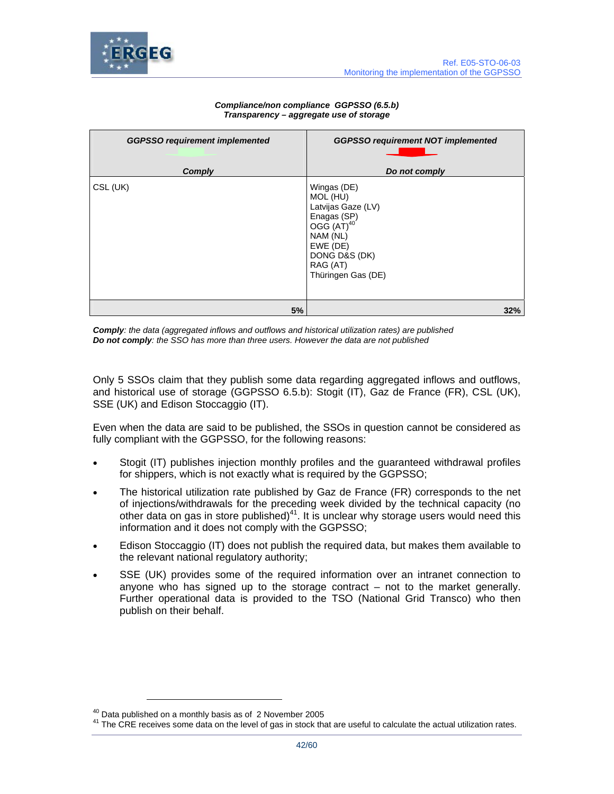| <b>GGPSSO requirement implemented</b> | <b>GGPSSO requirement NOT implemented</b>                                                                                                                  |
|---------------------------------------|------------------------------------------------------------------------------------------------------------------------------------------------------------|
| Comply                                | Do not comply                                                                                                                                              |
| CSL (UK)                              | Wingas (DE)<br>MOL (HU)<br>Latvijas Gaze (LV)<br>Enagas (SP)<br>OGG $(AT)^{40}$<br>NAM (NL)<br>EWE (DE)<br>DONG D&S (DK)<br>RAG (AT)<br>Thüringen Gas (DE) |
| 5%                                    | 32%                                                                                                                                                        |

#### *Compliance/non compliance GGPSSO (6.5.b) Transparency – aggregate use of storage*

*Comply: the data (aggregated inflows and outflows and historical utilization rates) are published Do not comply: the SSO has more than three users. However the data are not published*

Only 5 SSOs claim that they publish some data regarding aggregated inflows and outflows, and historical use of storage (GGPSSO 6.5.b): Stogit (IT), Gaz de France (FR), CSL (UK), SSE (UK) and Edison Stoccaggio (IT).

Even when the data are said to be published, the SSOs in question cannot be considered as fully compliant with the GGPSSO, for the following reasons:

- Stogit (IT) publishes injection monthly profiles and the guaranteed withdrawal profiles for shippers, which is not exactly what is required by the GGPSSO;
- The historical utilization rate published by Gaz de France (FR) corresponds to the net of injections/withdrawals for the preceding week divided by the technical capacity (no other data on gas in store published)<sup>41</sup>. It is unclear why storage users would need this information and it does not comply with the GGPSSO;
- Edison Stoccaggio (IT) does not publish the required data, but makes them available to the relevant national regulatory authority;
- SSE (UK) provides some of the required information over an intranet connection to anyone who has signed up to the storage contract  $-$  not to the market generally. Further operational data is provided to the TSO (National Grid Transco) who then publish on their behalf.

l

 $^{40}$  Data published on a monthly basis as of 2 November 2005<br> $^{41}$  The CRE receives some data on the level of gas in stock that are useful to calculate the actual utilization rates.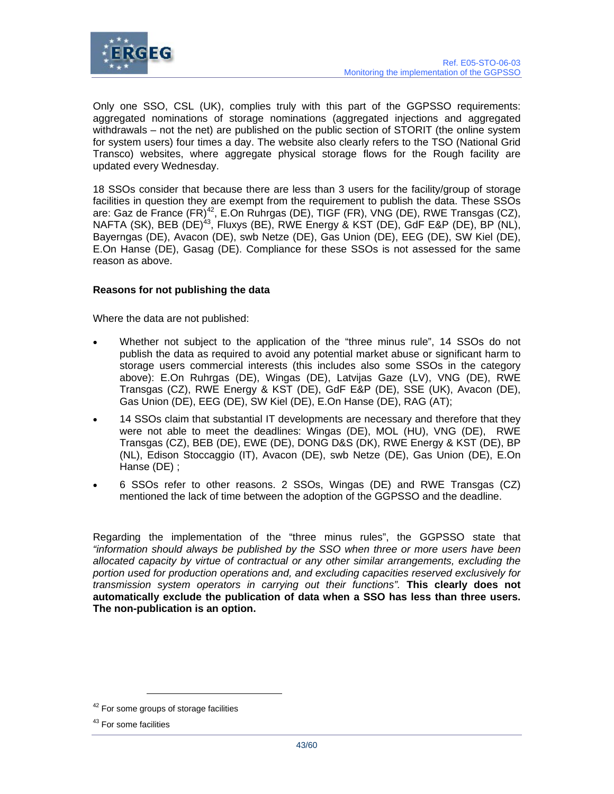

Only one SSO, CSL (UK), complies truly with this part of the GGPSSO requirements: aggregated nominations of storage nominations (aggregated injections and aggregated withdrawals – not the net) are published on the public section of STORIT (the online system for system users) four times a day. The website also clearly refers to the TSO (National Grid Transco) websites, where aggregate physical storage flows for the Rough facility are updated every Wednesday.

18 SSOs consider that because there are less than 3 users for the facility/group of storage facilities in question they are exempt from the requirement to publish the data. These SSOs are: Gaz de France (FR)<sup>42</sup>, E.On Ruhrgas (DE), TIGF (FR), VNG (DE), RWE Transgas (CZ), NAFTA (SK), BEB (DE)<sup>43</sup>, Fluxys (BE), RWE Energy & KST (DE), GdF E&P (DE), BP (NL), Bayerngas (DE), Avacon (DE), swb Netze (DE), Gas Union (DE), EEG (DE), SW Kiel (DE), E.On Hanse (DE), Gasag (DE). Compliance for these SSOs is not assessed for the same reason as above.

#### **Reasons for not publishing the data**

Where the data are not published:

- Whether not subject to the application of the "three minus rule", 14 SSOs do not publish the data as required to avoid any potential market abuse or significant harm to storage users commercial interests (this includes also some SSOs in the category above): E.On Ruhrgas (DE), Wingas (DE), Latvijas Gaze (LV), VNG (DE), RWE Transgas (CZ), RWE Energy & KST (DE), GdF E&P (DE), SSE (UK), Avacon (DE), Gas Union (DE), EEG (DE), SW Kiel (DE), E.On Hanse (DE), RAG (AT);
- 14 SSOs claim that substantial IT developments are necessary and therefore that they were not able to meet the deadlines: Wingas (DE), MOL (HU), VNG (DE), RWE Transgas (CZ), BEB (DE), EWE (DE), DONG D&S (DK), RWE Energy & KST (DE), BP (NL), Edison Stoccaggio (IT), Avacon (DE), swb Netze (DE), Gas Union (DE), E.On Hanse (DE) ;
- 6 SSOs refer to other reasons. 2 SSOs, Wingas (DE) and RWE Transgas (CZ) mentioned the lack of time between the adoption of the GGPSSO and the deadline.

Regarding the implementation of the "three minus rules", the GGPSSO state that *"information should always be published by the SSO when three or more users have been allocated capacity by virtue of contractual or any other similar arrangements, excluding the portion used for production operations and, and excluding capacities reserved exclusively for transmission system operators in carrying out their functions".* **This clearly does not automatically exclude the publication of data when a SSO has less than three users. The non-publication is an option.** 

l

<sup>&</sup>lt;sup>42</sup> For some groups of storage facilities

<sup>&</sup>lt;sup>43</sup> For some facilities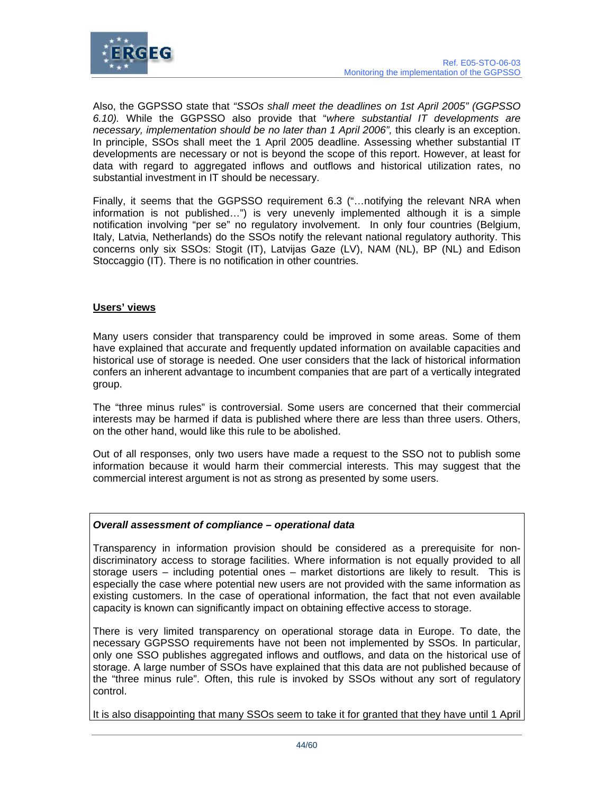

Also, the GGPSSO state that *"SSOs shall meet the deadlines on 1st April 2005" (GGPSSO 6.10).* While the GGPSSO also provide that "*where substantial IT developments are necessary, implementation should be no later than 1 April 2006",* this clearly is an exception. In principle, SSOs shall meet the 1 April 2005 deadline. Assessing whether substantial IT developments are necessary or not is beyond the scope of this report. However, at least for data with regard to aggregated inflows and outflows and historical utilization rates, no substantial investment in IT should be necessary.

Finally, it seems that the GGPSSO requirement 6.3 ("…notifying the relevant NRA when information is not published…") is very unevenly implemented although it is a simple notification involving "per se" no regulatory involvement. In only four countries (Belgium, Italy, Latvia, Netherlands) do the SSOs notify the relevant national regulatory authority. This concerns only six SSOs: Stogit (IT), Latvijas Gaze (LV), NAM (NL), BP (NL) and Edison Stoccaggio (IT). There is no notification in other countries.

#### **Users' views**

Many users consider that transparency could be improved in some areas. Some of them have explained that accurate and frequently updated information on available capacities and historical use of storage is needed. One user considers that the lack of historical information confers an inherent advantage to incumbent companies that are part of a vertically integrated group.

The "three minus rules" is controversial. Some users are concerned that their commercial interests may be harmed if data is published where there are less than three users. Others, on the other hand, would like this rule to be abolished.

Out of all responses, only two users have made a request to the SSO not to publish some information because it would harm their commercial interests. This may suggest that the commercial interest argument is not as strong as presented by some users.

#### *Overall assessment of compliance – operational data*

Transparency in information provision should be considered as a prerequisite for nondiscriminatory access to storage facilities. Where information is not equally provided to all storage users – including potential ones – market distortions are likely to result. This is especially the case where potential new users are not provided with the same information as existing customers. In the case of operational information, the fact that not even available capacity is known can significantly impact on obtaining effective access to storage.

There is very limited transparency on operational storage data in Europe. To date, the necessary GGPSSO requirements have not been not implemented by SSOs. In particular, only one SSO publishes aggregated inflows and outflows, and data on the historical use of storage. A large number of SSOs have explained that this data are not published because of the "three minus rule". Often, this rule is invoked by SSOs without any sort of regulatory control.

It is also disappointing that many SSOs seem to take it for granted that they have until 1 April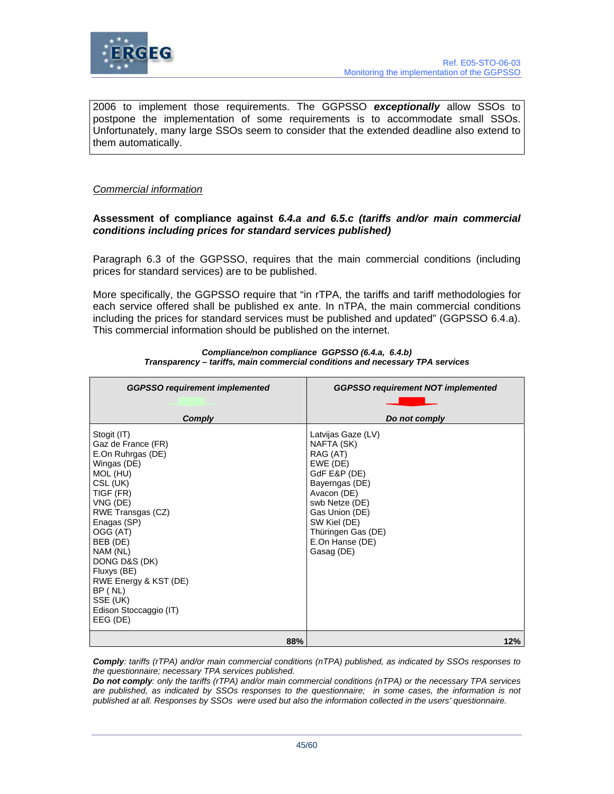

2006 to implement those requirements. The GGPSSO *exceptionally* allow SSOs to postpone the implementation of some requirements is to accommodate small SSOs. Unfortunately, many large SSOs seem to consider that the extended deadline also extend to them automatically.

#### *Commercial information*

#### **Assessment of compliance against** *6.4.a and 6.5.c (tariffs and/or main commercial conditions including prices for standard services published)*

Paragraph 6.3 of the GGPSSO, requires that the main commercial conditions (including prices for standard services) are to be published.

More specifically, the GGPSSO require that "in rTPA, the tariffs and tariff methodologies for each service offered shall be published ex ante. In nTPA, the main commercial conditions including the prices for standard services must be published and updated" (GGPSSO 6.4.a). This commercial information should be published on the internet.

| <b>GGPSSO</b> requirement implemented                                                                                                                                                                                                                                                                                | <b>GGPSSO requirement NOT implemented</b>                                                                                                                                                                            |
|----------------------------------------------------------------------------------------------------------------------------------------------------------------------------------------------------------------------------------------------------------------------------------------------------------------------|----------------------------------------------------------------------------------------------------------------------------------------------------------------------------------------------------------------------|
| Comply                                                                                                                                                                                                                                                                                                               | Do not comply                                                                                                                                                                                                        |
| Stogit (IT)<br>Gaz de France (FR)<br>E.On Ruhrgas (DE)<br>Wingas (DE)<br>MOL (HU)<br>CSL (UK)<br>TIGF (FR)<br>VNG (DE)<br>RWE Transgas (CZ)<br>Enagas (SP)<br>OGG (AT)<br>BEB (DE)<br>NAM (NL)<br>DONG D&S (DK)<br>Fluxys (BE)<br>RWE Energy & KST (DE)<br>BP (NL)<br>SSE (UK)<br>Edison Stoccaggio (IT)<br>EEG (DE) | Latvijas Gaze (LV)<br>NAFTA (SK)<br>RAG (AT)<br>EWE (DE)<br>GdF E&P (DE)<br>Bayerngas (DE)<br>Avacon (DE)<br>swb Netze (DE)<br>Gas Union (DE)<br>SW Kiel (DE)<br>Thüringen Gas (DE)<br>E.On Hanse (DE)<br>Gasag (DE) |
| 88%                                                                                                                                                                                                                                                                                                                  | 12%                                                                                                                                                                                                                  |

#### *Compliance/non compliance GGPSSO (6.4.a, 6.4.b) Transparency – tariffs, main commercial conditions and necessary TPA services*

*Comply: tariffs (rTPA) and/or main commercial conditions (nTPA) published, as indicated by SSOs responses to the questionnaire; necessary TPA services published.* 

*Do not comply: only the tariffs (rTPA) and/or main commercial conditions (nTPA) or the necessary TPA services are published, as indicated by SSOs responses to the questionnaire; in some cases, the information is not published at all. Responses by SSOs were used but also the information collected in the users' questionnaire.*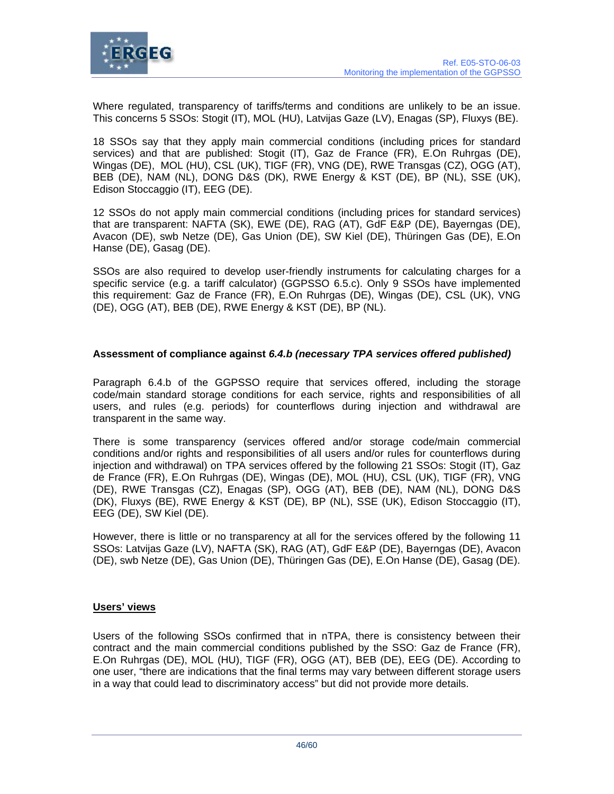

Where regulated, transparency of tariffs/terms and conditions are unlikely to be an issue. This concerns 5 SSOs: Stogit (IT), MOL (HU), Latvijas Gaze (LV), Enagas (SP), Fluxys (BE).

18 SSOs say that they apply main commercial conditions (including prices for standard services) and that are published: Stogit (IT), Gaz de France (FR), E.On Ruhrgas (DE), Wingas (DE), MOL (HU), CSL (UK), TIGF (FR), VNG (DE), RWE Transgas (CZ), OGG (AT), BEB (DE), NAM (NL), DONG D&S (DK), RWE Energy & KST (DE), BP (NL), SSE (UK), Edison Stoccaggio (IT), EEG (DE).

12 SSOs do not apply main commercial conditions (including prices for standard services) that are transparent: NAFTA (SK), EWE (DE), RAG (AT), GdF E&P (DE), Bayerngas (DE), Avacon (DE), swb Netze (DE), Gas Union (DE), SW Kiel (DE), Thüringen Gas (DE), E.On Hanse (DE), Gasag (DE).

SSOs are also required to develop user-friendly instruments for calculating charges for a specific service (e.g. a tariff calculator) (GGPSSO 6.5.c). Only 9 SSOs have implemented this requirement: Gaz de France (FR), E.On Ruhrgas (DE), Wingas (DE), CSL (UK), VNG (DE), OGG (AT), BEB (DE), RWE Energy & KST (DE), BP (NL).

#### **Assessment of compliance against** *6.4.b (necessary TPA services offered published)*

Paragraph 6.4.b of the GGPSSO require that services offered, including the storage code/main standard storage conditions for each service, rights and responsibilities of all users, and rules (e.g. periods) for counterflows during injection and withdrawal are transparent in the same way.

There is some transparency (services offered and/or storage code/main commercial conditions and/or rights and responsibilities of all users and/or rules for counterflows during injection and withdrawal) on TPA services offered by the following 21 SSOs: Stogit (IT), Gaz de France (FR), E.On Ruhrgas (DE), Wingas (DE), MOL (HU), CSL (UK), TIGF (FR), VNG (DE), RWE Transgas (CZ), Enagas (SP), OGG (AT), BEB (DE), NAM (NL), DONG D&S (DK), Fluxys (BE), RWE Energy & KST (DE), BP (NL), SSE (UK), Edison Stoccaggio (IT), EEG (DE), SW Kiel (DE).

However, there is little or no transparency at all for the services offered by the following 11 SSOs: Latvijas Gaze (LV), NAFTA (SK), RAG (AT), GdF E&P (DE), Bayerngas (DE), Avacon (DE), swb Netze (DE), Gas Union (DE), Thüringen Gas (DE), E.On Hanse (DE), Gasag (DE).

#### **Users' views**

Users of the following SSOs confirmed that in nTPA, there is consistency between their contract and the main commercial conditions published by the SSO: Gaz de France (FR), E.On Ruhrgas (DE), MOL (HU), TIGF (FR), OGG (AT), BEB (DE), EEG (DE). According to one user, "there are indications that the final terms may vary between different storage users in a way that could lead to discriminatory access" but did not provide more details.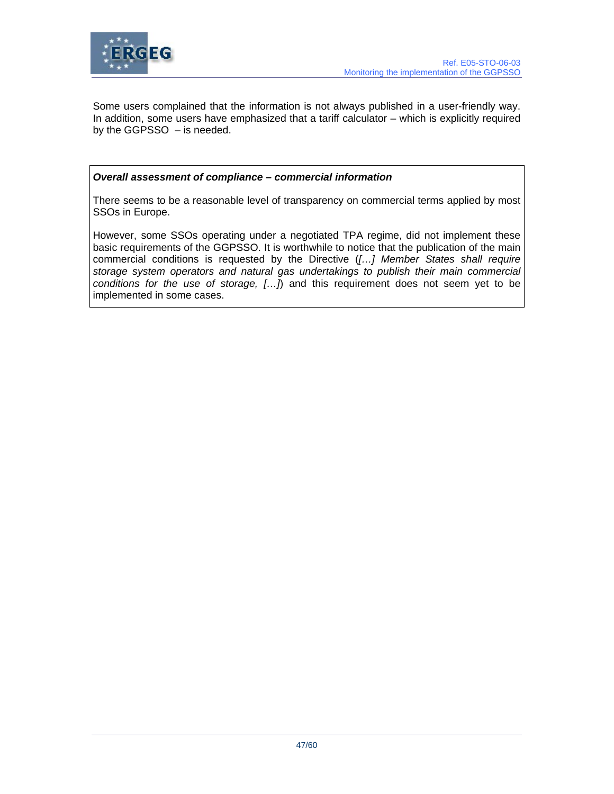

Some users complained that the information is not always published in a user-friendly way. In addition, some users have emphasized that a tariff calculator – which is explicitly required by the GGPSSO – is needed.

## *Overall assessment of compliance – commercial information*

There seems to be a reasonable level of transparency on commercial terms applied by most SSOs in Europe.

However, some SSOs operating under a negotiated TPA regime, did not implement these basic requirements of the GGPSSO. It is worthwhile to notice that the publication of the main commercial conditions is requested by the Directive (*[…] Member States shall require storage system operators and natural gas undertakings to publish their main commercial conditions for the use of storage, […]*) and this requirement does not seem yet to be implemented in some cases.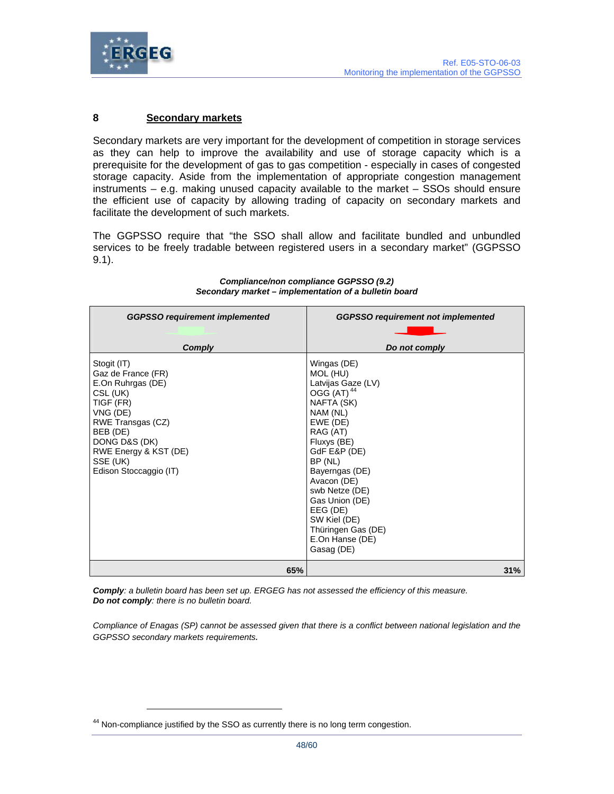

## **8 Secondary markets**

Secondary markets are very important for the development of competition in storage services as they can help to improve the availability and use of storage capacity which is a prerequisite for the development of gas to gas competition - especially in cases of congested storage capacity. Aside from the implementation of appropriate congestion management instruments – e.g. making unused capacity available to the market – SSOs should ensure the efficient use of capacity by allowing trading of capacity on secondary markets and facilitate the development of such markets.

The GGPSSO require that "the SSO shall allow and facilitate bundled and unbundled services to be freely tradable between registered users in a secondary market" (GGPSSO 9.1).

| <b>GGPSSO requirement implemented</b><br><b>Comply</b>                                                                                                                                                       | <b>GGPSSO</b> requirement not implemented<br>Do not comply                                                                                                                                                                                                                                                                    |
|--------------------------------------------------------------------------------------------------------------------------------------------------------------------------------------------------------------|-------------------------------------------------------------------------------------------------------------------------------------------------------------------------------------------------------------------------------------------------------------------------------------------------------------------------------|
| Stogit (IT)<br>Gaz de France (FR)<br>E.On Ruhrgas (DE)<br>CSL (UK)<br>TIGF (FR)<br>VNG (DE)<br>RWE Transgas (CZ)<br>BEB (DE)<br>DONG D&S (DK)<br>RWE Energy & KST (DE)<br>SSE (UK)<br>Edison Stoccaggio (IT) | Wingas (DE)<br>MOL (HU)<br>Latvijas Gaze (LV)<br>OGG $(AT)$ <sup>44</sup><br>NAFTA (SK)<br>NAM (NL)<br>EWE (DE)<br>RAG (AT)<br>Fluxys (BE)<br>GdF E&P (DE)<br>BP (NL)<br>Bayerngas (DE)<br>Avacon (DE)<br>swb Netze (DE)<br>Gas Union (DE)<br>EEG (DE)<br>SW Kiel (DE)<br>Thüringen Gas (DE)<br>E.On Hanse (DE)<br>Gasag (DE) |
| 65%                                                                                                                                                                                                          | 31%                                                                                                                                                                                                                                                                                                                           |

#### *Compliance/non compliance GGPSSO (9.2) Secondary market – implementation of a bulletin board*

*Comply: a bulletin board has been set up. ERGEG has not assessed the efficiency of this measure. Do not comply: there is no bulletin board.*

*Compliance of Enagas (SP) cannot be assessed given that there is a conflict between national legislation and the GGPSSO secondary markets requirements.* 

l

<sup>&</sup>lt;sup>44</sup> Non-compliance justified by the SSO as currently there is no long term congestion.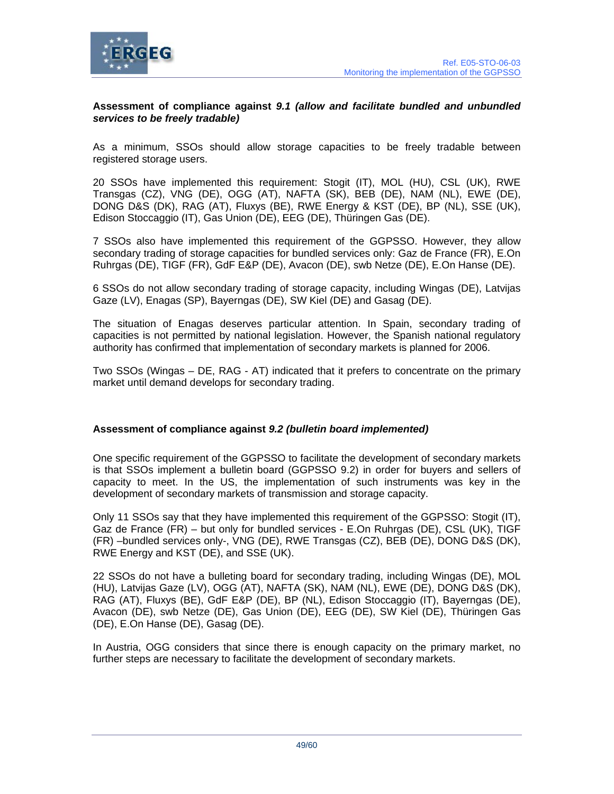

#### **Assessment of compliance against** *9.1 (allow and facilitate bundled and unbundled services to be freely tradable)*

As a minimum, SSOs should allow storage capacities to be freely tradable between registered storage users.

20 SSOs have implemented this requirement: Stogit (IT), MOL (HU), CSL (UK), RWE Transgas (CZ), VNG (DE), OGG (AT), NAFTA (SK), BEB (DE), NAM (NL), EWE (DE), DONG D&S (DK), RAG (AT), Fluxys (BE), RWE Energy & KST (DE), BP (NL), SSE (UK), Edison Stoccaggio (IT), Gas Union (DE), EEG (DE), Thüringen Gas (DE).

7 SSOs also have implemented this requirement of the GGPSSO. However, they allow secondary trading of storage capacities for bundled services only: Gaz de France (FR), E.On Ruhrgas (DE), TIGF (FR), GdF E&P (DE), Avacon (DE), swb Netze (DE), E.On Hanse (DE).

6 SSOs do not allow secondary trading of storage capacity, including Wingas (DE), Latvijas Gaze (LV), Enagas (SP), Bayerngas (DE), SW Kiel (DE) and Gasag (DE).

The situation of Enagas deserves particular attention. In Spain, secondary trading of capacities is not permitted by national legislation. However, the Spanish national regulatory authority has confirmed that implementation of secondary markets is planned for 2006.

Two SSOs (Wingas – DE, RAG - AT) indicated that it prefers to concentrate on the primary market until demand develops for secondary trading.

#### **Assessment of compliance against** *9.2 (bulletin board implemented)*

One specific requirement of the GGPSSO to facilitate the development of secondary markets is that SSOs implement a bulletin board (GGPSSO 9.2) in order for buyers and sellers of capacity to meet. In the US, the implementation of such instruments was key in the development of secondary markets of transmission and storage capacity.

Only 11 SSOs say that they have implemented this requirement of the GGPSSO: Stogit (IT), Gaz de France (FR) – but only for bundled services - E.On Ruhrgas (DE), CSL (UK), TIGF (FR) –bundled services only-, VNG (DE), RWE Transgas (CZ), BEB (DE), DONG D&S (DK), RWE Energy and KST (DE), and SSE (UK).

22 SSOs do not have a bulleting board for secondary trading, including Wingas (DE), MOL (HU), Latvijas Gaze (LV), OGG (AT), NAFTA (SK), NAM (NL), EWE (DE), DONG D&S (DK), RAG (AT), Fluxys (BE), GdF E&P (DE), BP (NL), Edison Stoccaggio (IT), Bayerngas (DE), Avacon (DE), swb Netze (DE), Gas Union (DE), EEG (DE), SW Kiel (DE), Thüringen Gas (DE), E.On Hanse (DE), Gasag (DE).

In Austria, OGG considers that since there is enough capacity on the primary market, no further steps are necessary to facilitate the development of secondary markets.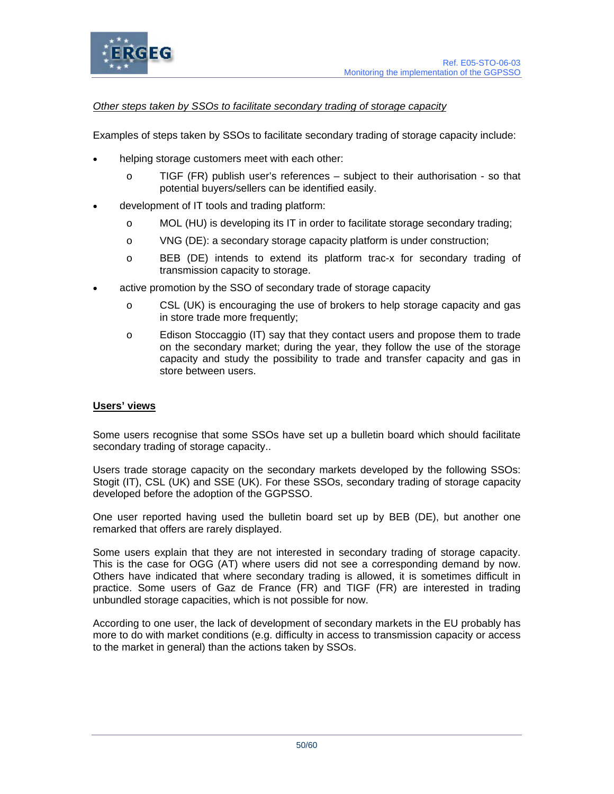

#### *Other steps taken by SSOs to facilitate secondary trading of storage capacity*

Examples of steps taken by SSOs to facilitate secondary trading of storage capacity include:

- helping storage customers meet with each other:
	- o TIGF (FR) publish user's references subject to their authorisation so that potential buyers/sellers can be identified easily.
- development of IT tools and trading platform:
	- o MOL (HU) is developing its IT in order to facilitate storage secondary trading;
	- o VNG (DE): a secondary storage capacity platform is under construction;
	- o BEB (DE) intends to extend its platform trac-x for secondary trading of transmission capacity to storage.
- active promotion by the SSO of secondary trade of storage capacity
	- o CSL (UK) is encouraging the use of brokers to help storage capacity and gas in store trade more frequently;
	- o Edison Stoccaggio (IT) say that they contact users and propose them to trade on the secondary market; during the year, they follow the use of the storage capacity and study the possibility to trade and transfer capacity and gas in store between users.

#### **Users' views**

Some users recognise that some SSOs have set up a bulletin board which should facilitate secondary trading of storage capacity..

Users trade storage capacity on the secondary markets developed by the following SSOs: Stogit (IT), CSL (UK) and SSE (UK). For these SSOs, secondary trading of storage capacity developed before the adoption of the GGPSSO.

One user reported having used the bulletin board set up by BEB (DE), but another one remarked that offers are rarely displayed.

Some users explain that they are not interested in secondary trading of storage capacity. This is the case for OGG (AT) where users did not see a corresponding demand by now. Others have indicated that where secondary trading is allowed, it is sometimes difficult in practice. Some users of Gaz de France (FR) and TIGF (FR) are interested in trading unbundled storage capacities, which is not possible for now.

According to one user, the lack of development of secondary markets in the EU probably has more to do with market conditions (e.g. difficulty in access to transmission capacity or access to the market in general) than the actions taken by SSOs.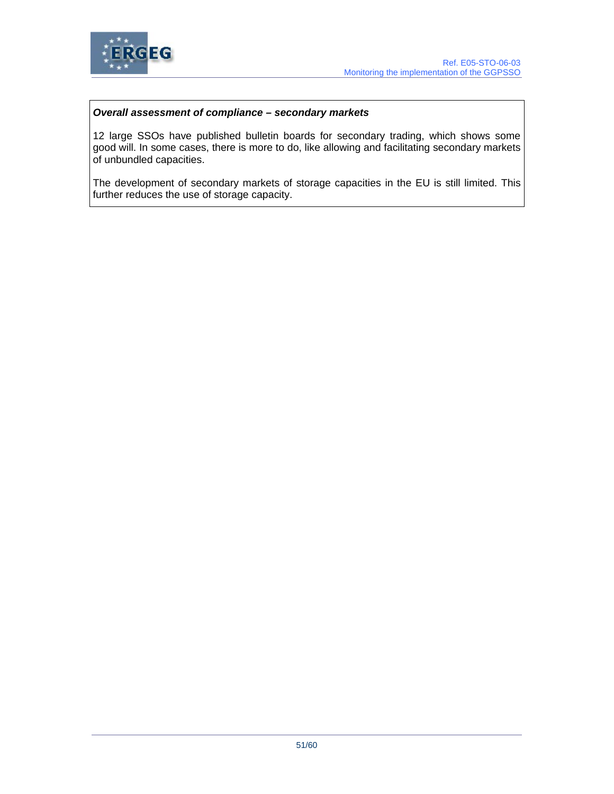

# *Overall assessment of compliance – secondary markets*

12 large SSOs have published bulletin boards for secondary trading, which shows some good will. In some cases, there is more to do, like allowing and facilitating secondary markets of unbundled capacities.

The development of secondary markets of storage capacities in the EU is still limited. This further reduces the use of storage capacity.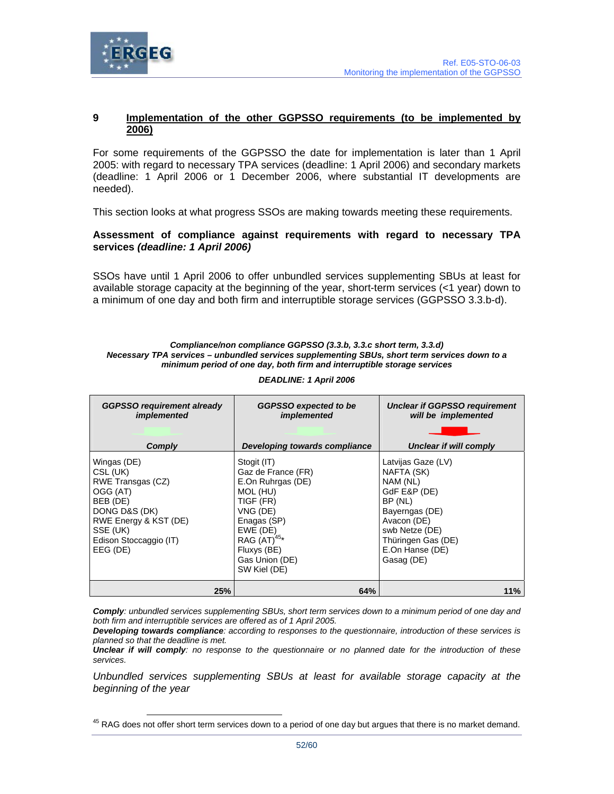

#### **9 Implementation of the other GGPSSO requirements (to be implemented by 2006)**

For some requirements of the GGPSSO the date for implementation is later than 1 April 2005: with regard to necessary TPA services (deadline: 1 April 2006) and secondary markets (deadline: 1 April 2006 or 1 December 2006, where substantial IT developments are needed).

This section looks at what progress SSOs are making towards meeting these requirements.

#### **Assessment of compliance against requirements with regard to necessary TPA services** *(deadline: 1 April 2006)*

SSOs have until 1 April 2006 to offer unbundled services supplementing SBUs at least for available storage capacity at the beginning of the year, short-term services (<1 year) down to a minimum of one day and both firm and interruptible storage services (GGPSSO 3.3.b-d).

#### *Compliance/non compliance GGPSSO (3.3.b, 3.3.c short term, 3.3.d) Necessary TPA services – unbundled services supplementing SBUs, short term services down to a minimum period of one day, both firm and interruptible storage services*

| <b>GGPSSO requirement already</b><br><i>implemented</i>                                                                                                          | <b>GGPSSO</b> expected to be<br><i>implemented</i>                                                                                                                                          | Unclear if GGPSSO requirement<br>will be implemented                                                                                                                              |
|------------------------------------------------------------------------------------------------------------------------------------------------------------------|---------------------------------------------------------------------------------------------------------------------------------------------------------------------------------------------|-----------------------------------------------------------------------------------------------------------------------------------------------------------------------------------|
| Comply                                                                                                                                                           | Developing towards compliance                                                                                                                                                               | Unclear if will comply                                                                                                                                                            |
| Wingas (DE)<br>CSL (UK)<br>RWE Transgas (CZ)<br>OGG (AT)<br>BEB (DE)<br>DONG D&S (DK)<br>RWE Energy & KST (DE)<br>SSE (UK)<br>Edison Stoccaggio (IT)<br>EEG (DE) | Stogit (IT)<br>Gaz de France (FR)<br>E.On Ruhrgas (DE)<br>MOL (HU)<br>TIGF (FR)<br>VNG (DE)<br>Enagas (SP)<br>EWE (DE)<br>RAG $(AT)^{45*}$<br>Fluxys (BE)<br>Gas Union (DE)<br>SW Kiel (DE) | Latvijas Gaze (LV)<br>NAFTA (SK)<br>NAM (NL)<br>GdF E&P (DE)<br>BP (NL)<br>Bayerngas (DE)<br>Avacon (DE)<br>swb Netze (DE)<br>Thüringen Gas (DE)<br>E.On Hanse (DE)<br>Gasag (DE) |
| 25%                                                                                                                                                              | 64%                                                                                                                                                                                         | 11%                                                                                                                                                                               |

*DEADLINE: 1 April 2006* 

*Comply: unbundled services supplementing SBUs, short term services down to a minimum period of one day and both firm and interruptible services are offered as of 1 April 2005.* 

*Developing towards compliance: according to responses to the questionnaire, introduction of these services is planned so that the deadline is met.*

*Unclear if will comply: no response to the questionnaire or no planned date for the introduction of these services.* 

*Unbundled services supplementing SBUs at least for available storage capacity at the beginning of the year* 

<sup>&</sup>lt;sup>45</sup> RAG does not offer short term services down to a period of one day but argues that there is no market demand.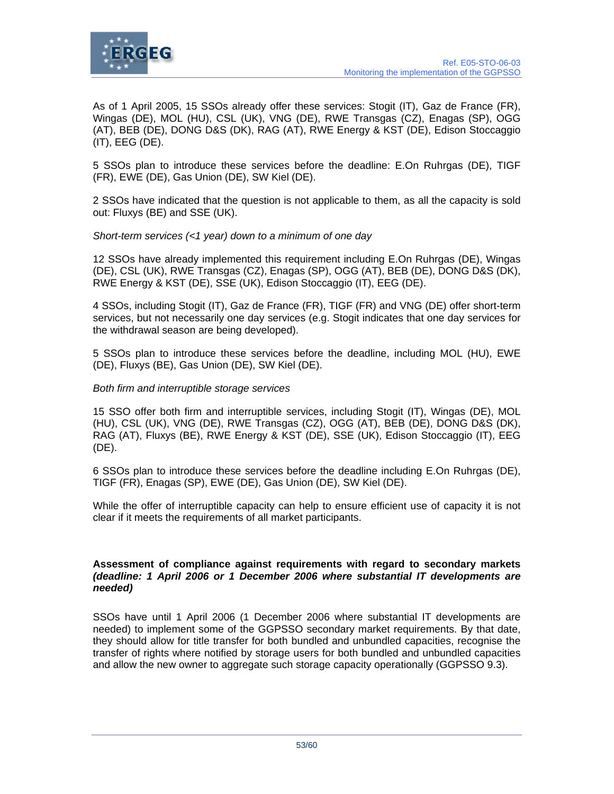

As of 1 April 2005, 15 SSOs already offer these services: Stogit (IT), Gaz de France (FR), Wingas (DE), MOL (HU), CSL (UK), VNG (DE), RWE Transgas (CZ), Enagas (SP), OGG (AT), BEB (DE), DONG D&S (DK), RAG (AT), RWE Energy & KST (DE), Edison Stoccaggio (IT), EEG (DE).

5 SSOs plan to introduce these services before the deadline: E.On Ruhrgas (DE), TIGF (FR), EWE (DE), Gas Union (DE), SW Kiel (DE).

2 SSOs have indicated that the question is not applicable to them, as all the capacity is sold out: Fluxys (BE) and SSE (UK).

*Short-term services (<1 year) down to a minimum of one day*

12 SSOs have already implemented this requirement including E.On Ruhrgas (DE), Wingas (DE), CSL (UK), RWE Transgas (CZ), Enagas (SP), OGG (AT), BEB (DE), DONG D&S (DK), RWE Energy & KST (DE), SSE (UK), Edison Stoccaggio (IT), EEG (DE).

4 SSOs, including Stogit (IT), Gaz de France (FR), TIGF (FR) and VNG (DE) offer short-term services, but not necessarily one day services (e.g. Stogit indicates that one day services for the withdrawal season are being developed).

5 SSOs plan to introduce these services before the deadline, including MOL (HU), EWE (DE), Fluxys (BE), Gas Union (DE), SW Kiel (DE).

#### *Both firm and interruptible storage services*

15 SSO offer both firm and interruptible services, including Stogit (IT), Wingas (DE), MOL (HU), CSL (UK), VNG (DE), RWE Transgas (CZ), OGG (AT), BEB (DE), DONG D&S (DK), RAG (AT), Fluxys (BE), RWE Energy & KST (DE), SSE (UK), Edison Stoccaggio (IT), EEG (DE).

6 SSOs plan to introduce these services before the deadline including E.On Ruhrgas (DE), TIGF (FR), Enagas (SP), EWE (DE), Gas Union (DE), SW Kiel (DE).

While the offer of interruptible capacity can help to ensure efficient use of capacity it is not clear if it meets the requirements of all market participants.

#### **Assessment of compliance against requirements with regard to secondary markets** *(deadline: 1 April 2006 or 1 December 2006 where substantial IT developments are needed)*

SSOs have until 1 April 2006 (1 December 2006 where substantial IT developments are needed) to implement some of the GGPSSO secondary market requirements. By that date, they should allow for title transfer for both bundled and unbundled capacities, recognise the transfer of rights where notified by storage users for both bundled and unbundled capacities and allow the new owner to aggregate such storage capacity operationally (GGPSSO 9.3).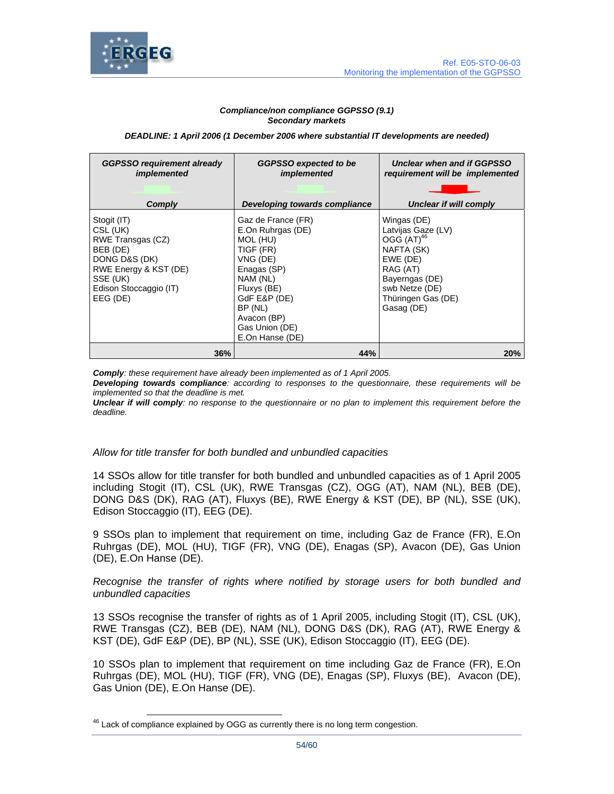



#### *Compliance/non compliance GGPSSO (9.1) Secondary markets*

#### *DEADLINE: 1 April 2006 (1 December 2006 where substantial IT developments are needed)*

| <b>GGPSSO requirement already</b><br><i>implemented</i>                                                                                              | GGPSSO expected to be<br><i>implemented</i>                                                                                                                                                           | Unclear when and if GGPSSO<br>requirement will be implemented                                                                                                      |
|------------------------------------------------------------------------------------------------------------------------------------------------------|-------------------------------------------------------------------------------------------------------------------------------------------------------------------------------------------------------|--------------------------------------------------------------------------------------------------------------------------------------------------------------------|
|                                                                                                                                                      |                                                                                                                                                                                                       |                                                                                                                                                                    |
| Comply                                                                                                                                               | Developing towards compliance                                                                                                                                                                         | Unclear if will comply                                                                                                                                             |
| Stogit (IT)<br>CSL (UK)<br>RWE Transgas (CZ)<br>BEB (DE)<br>DONG D&S (DK)<br>RWE Energy & KST (DE)<br>SSE (UK)<br>Edison Stoccaggio (IT)<br>EEG (DE) | Gaz de France (FR)<br>E.On Ruhrgas (DE)<br>MOL (HU)<br>TIGF (FR)<br>VNG (DE)<br>Enagas (SP)<br>NAM (NL)<br>Fluxys (BE)<br>GdF E&P (DE)<br>BP (NL)<br>Avacon (BP)<br>Gas Union (DE)<br>E.On Hanse (DE) | Wingas (DE)<br>Latvijas Gaze (LV)<br>OGG $(AT)^{46}$<br>NAFTA (SK)<br>EWE (DE)<br>RAG (AT)<br>Bayerngas (DE)<br>swb Netze (DE)<br>Thüringen Gas (DE)<br>Gasag (DE) |
| 36%                                                                                                                                                  | 44%                                                                                                                                                                                                   | 20%                                                                                                                                                                |

*Comply: these requirement have already been implemented as of 1 April 2005.* 

*Developing towards compliance: according to responses to the questionnaire, these requirements will be implemented so that the deadline is met.* 

*Unclear if will comply: no response to the questionnaire or no plan to implement this requirement before the deadline.* 

#### *Allow for title transfer for both bundled and unbundled capacities*

14 SSOs allow for title transfer for both bundled and unbundled capacities as of 1 April 2005 including Stogit (IT), CSL (UK), RWE Transgas (CZ), OGG (AT), NAM (NL), BEB (DE), DONG D&S (DK), RAG (AT), Fluxys (BE), RWE Energy & KST (DE), BP (NL), SSE (UK), Edison Stoccaggio (IT), EEG (DE).

9 SSOs plan to implement that requirement on time, including Gaz de France (FR), E.On Ruhrgas (DE), MOL (HU), TIGF (FR), VNG (DE), Enagas (SP), Avacon (DE), Gas Union (DE), E.On Hanse (DE).

*Recognise the transfer of rights where notified by storage users for both bundled and unbundled capacities* 

13 SSOs recognise the transfer of rights as of 1 April 2005, including Stogit (IT), CSL (UK), RWE Transgas (CZ), BEB (DE), NAM (NL), DONG D&S (DK), RAG (AT), RWE Energy & KST (DE), GdF E&P (DE), BP (NL), SSE (UK), Edison Stoccaggio (IT), EEG (DE).

10 SSOs plan to implement that requirement on time including Gaz de France (FR), E.On Ruhrgas (DE), MOL (HU), TIGF (FR), VNG (DE), Enagas (SP), Fluxys (BE), Avacon (DE), Gas Union (DE), E.On Hanse (DE).

 $46$  Lack of compliance explained by OGG as currently there is no long term congestion.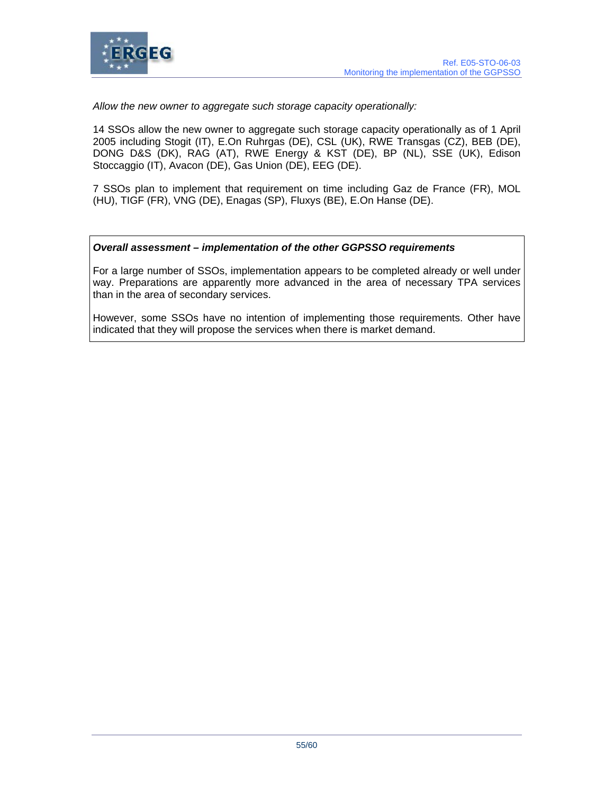

*Allow the new owner to aggregate such storage capacity operationally:* 

14 SSOs allow the new owner to aggregate such storage capacity operationally as of 1 April 2005 including Stogit (IT), E.On Ruhrgas (DE), CSL (UK), RWE Transgas (CZ), BEB (DE), DONG D&S (DK), RAG (AT), RWE Energy & KST (DE), BP (NL), SSE (UK), Edison Stoccaggio (IT), Avacon (DE), Gas Union (DE), EEG (DE).

7 SSOs plan to implement that requirement on time including Gaz de France (FR), MOL (HU), TIGF (FR), VNG (DE), Enagas (SP), Fluxys (BE), E.On Hanse (DE).

#### *Overall assessment – implementation of the other GGPSSO requirements*

For a large number of SSOs, implementation appears to be completed already or well under way. Preparations are apparently more advanced in the area of necessary TPA services than in the area of secondary services.

However, some SSOs have no intention of implementing those requirements. Other have indicated that they will propose the services when there is market demand.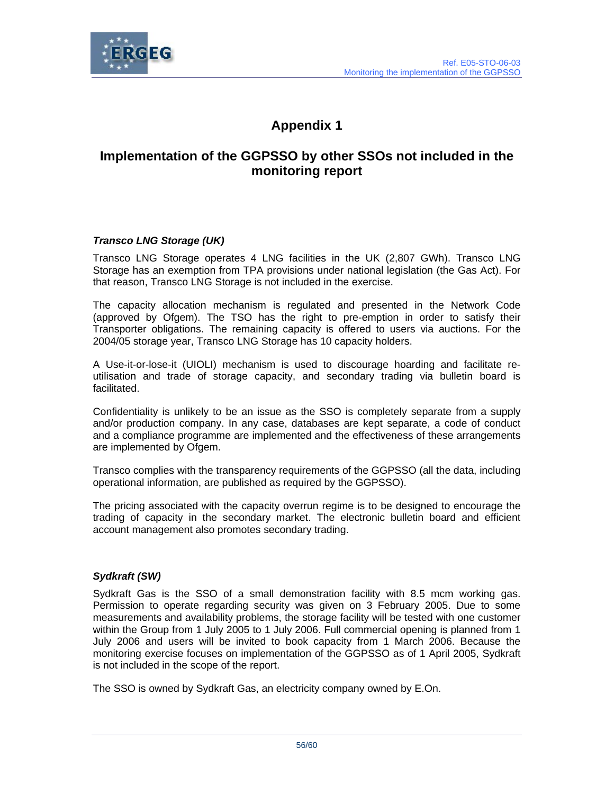

# **Appendix 1**

# **Implementation of the GGPSSO by other SSOs not included in the monitoring report**

## *Transco LNG Storage (UK)*

Transco LNG Storage operates 4 LNG facilities in the UK (2,807 GWh). Transco LNG Storage has an exemption from TPA provisions under national legislation (the Gas Act). For that reason, Transco LNG Storage is not included in the exercise.

The capacity allocation mechanism is regulated and presented in the Network Code (approved by Ofgem). The TSO has the right to pre-emption in order to satisfy their Transporter obligations. The remaining capacity is offered to users via auctions. For the 2004/05 storage year, Transco LNG Storage has 10 capacity holders.

A Use-it-or-lose-it (UIOLI) mechanism is used to discourage hoarding and facilitate reutilisation and trade of storage capacity, and secondary trading via bulletin board is facilitated.

Confidentiality is unlikely to be an issue as the SSO is completely separate from a supply and/or production company. In any case, databases are kept separate, a code of conduct and a compliance programme are implemented and the effectiveness of these arrangements are implemented by Ofgem.

Transco complies with the transparency requirements of the GGPSSO (all the data, including operational information, are published as required by the GGPSSO).

The pricing associated with the capacity overrun regime is to be designed to encourage the trading of capacity in the secondary market. The electronic bulletin board and efficient account management also promotes secondary trading.

## *Sydkraft (SW)*

Sydkraft Gas is the SSO of a small demonstration facility with 8.5 mcm working gas. Permission to operate regarding security was given on 3 February 2005. Due to some measurements and availability problems, the storage facility will be tested with one customer within the Group from 1 July 2005 to 1 July 2006. Full commercial opening is planned from 1 July 2006 and users will be invited to book capacity from 1 March 2006. Because the monitoring exercise focuses on implementation of the GGPSSO as of 1 April 2005, Sydkraft is not included in the scope of the report.

The SSO is owned by Sydkraft Gas, an electricity company owned by E.On.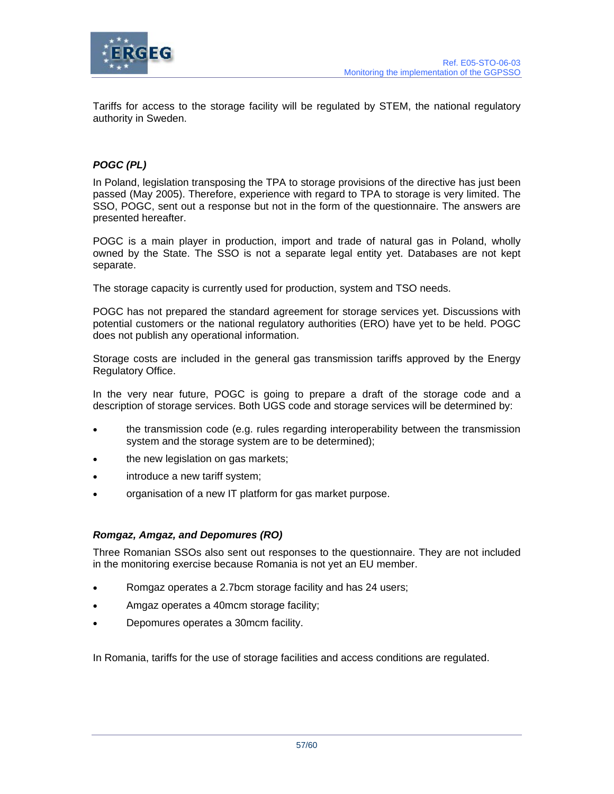

Tariffs for access to the storage facility will be regulated by STEM, the national regulatory authority in Sweden.

## *POGC (PL)*

In Poland, legislation transposing the TPA to storage provisions of the directive has just been passed (May 2005). Therefore, experience with regard to TPA to storage is very limited. The SSO, POGC, sent out a response but not in the form of the questionnaire. The answers are presented hereafter.

POGC is a main player in production, import and trade of natural gas in Poland, wholly owned by the State. The SSO is not a separate legal entity yet. Databases are not kept separate.

The storage capacity is currently used for production, system and TSO needs.

POGC has not prepared the standard agreement for storage services yet. Discussions with potential customers or the national regulatory authorities (ERO) have yet to be held. POGC does not publish any operational information.

Storage costs are included in the general gas transmission tariffs approved by the Energy Regulatory Office.

In the very near future, POGC is going to prepare a draft of the storage code and a description of storage services. Both UGS code and storage services will be determined by:

- the transmission code (e.g. rules regarding interoperability between the transmission system and the storage system are to be determined);
- the new legislation on gas markets;
- introduce a new tariff system;
- organisation of a new IT platform for gas market purpose.

#### *Romgaz, Amgaz, and Depomures (RO)*

Three Romanian SSOs also sent out responses to the questionnaire. They are not included in the monitoring exercise because Romania is not yet an EU member.

- Romgaz operates a 2.7bcm storage facility and has 24 users;
- Amgaz operates a 40mcm storage facility;
- Depomures operates a 30mcm facility.

In Romania, tariffs for the use of storage facilities and access conditions are regulated.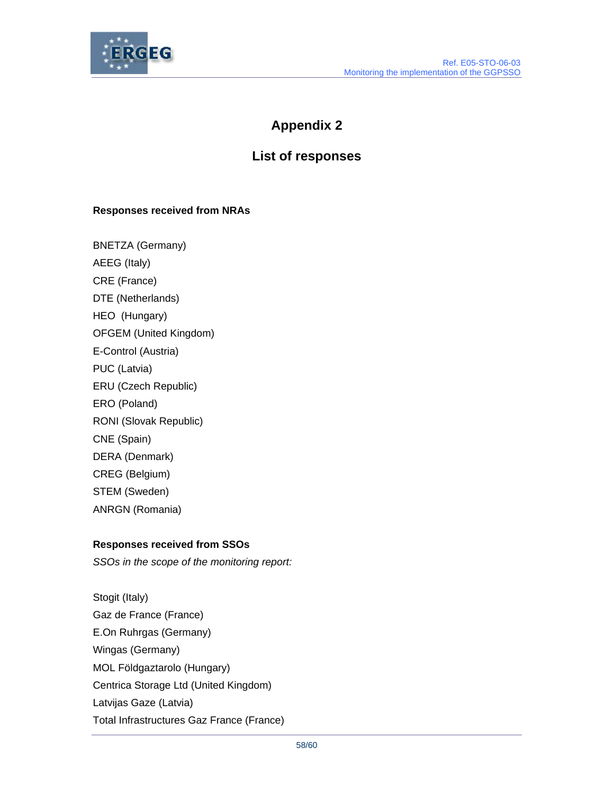

# **Appendix 2**

# **List of responses**

## **Responses received from NRAs**

BNETZA (Germany)

AEEG (Italy)

CRE (France)

DTE (Netherlands)

HEO (Hungary)

OFGEM (United Kingdom)

E-Control (Austria)

PUC (Latvia)

ERU (Czech Republic)

ERO (Poland)

RONI (Slovak Republic)

CNE (Spain)

DERA (Denmark)

CREG (Belgium)

STEM (Sweden)

ANRGN (Romania)

## **Responses received from SSOs**

*SSOs in the scope of the monitoring report:* 

Stogit (Italy) Gaz de France (France) E.On Ruhrgas (Germany) Wingas (Germany) MOL Földgaztarolo (Hungary) Centrica Storage Ltd (United Kingdom) Latvijas Gaze (Latvia) Total Infrastructures Gaz France (France)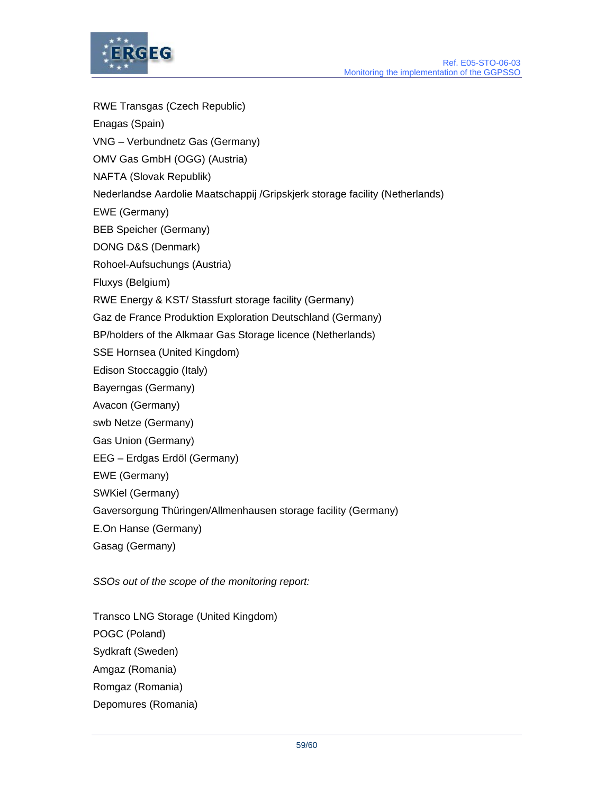

RWE Transgas (Czech Republic) Enagas (Spain) VNG – Verbundnetz Gas (Germany) OMV Gas GmbH (OGG) (Austria) NAFTA (Slovak Republik) Nederlandse Aardolie Maatschappij /Gripskjerk storage facility (Netherlands) EWE (Germany) BEB Speicher (Germany) DONG D&S (Denmark) Rohoel-Aufsuchungs (Austria) Fluxys (Belgium) RWE Energy & KST/ Stassfurt storage facility (Germany) Gaz de France Produktion Exploration Deutschland (Germany) BP/holders of the Alkmaar Gas Storage licence (Netherlands) SSE Hornsea (United Kingdom) Edison Stoccaggio (Italy) Bayerngas (Germany) Avacon (Germany) swb Netze (Germany) Gas Union (Germany) EEG – Erdgas Erdöl (Germany) EWE (Germany) SWKiel (Germany) Gaversorgung Thüringen/Allmenhausen storage facility (Germany) E.On Hanse (Germany) Gasag (Germany) *SSOs out of the scope of the monitoring report:*

Transco LNG Storage (United Kingdom) POGC (Poland) Sydkraft (Sweden) Amgaz (Romania) Romgaz (Romania) Depomures (Romania)